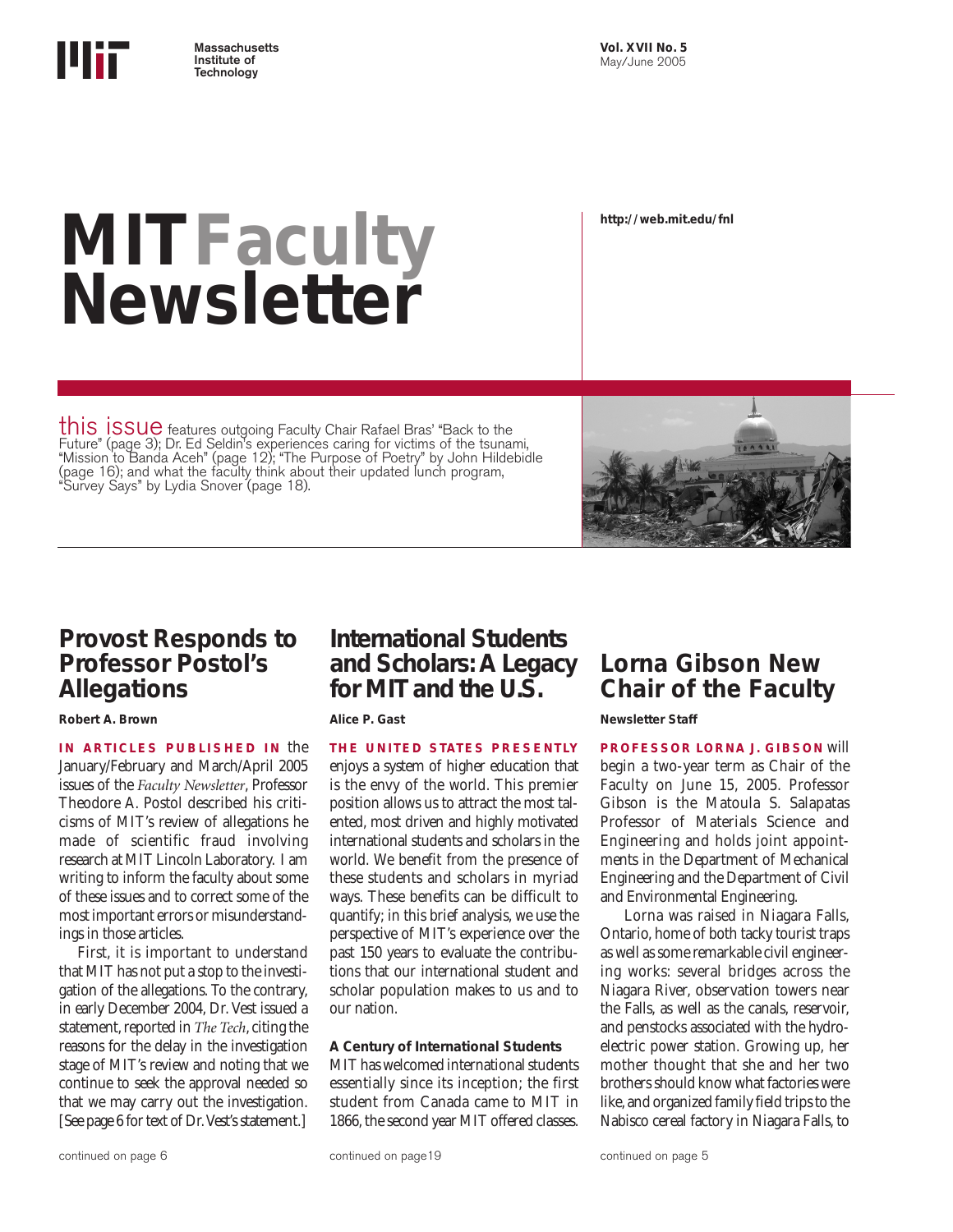

**http://web.mit.edu/fnl**

# **MITFaculty Newsletter**

this issue features outgoing Faculty Chair Rafael Bras' "Back to the<br>Future" (page 3); Dr. Ed Seldin's experiences caring for victims of the tsunami, "Mission to Banda Aceh" (page 12); "The Purpose of Poetry" by John Hildebidle<br>(page 16); and what the faculty think about their updated lunch program, "Survey Says" by Lydia Snover (page 18).



# **Provost Responds to Professor Postol's Allegations**

**Robert A. Brown**

**IN ARTICLES PUBLISHED IN the** January/February and March/April 2005 issues of the *Faculty Newsletter*, Professor Theodore A. Postol described his criticisms of MIT's review of allegations he made of scientific fraud involving research at MIT Lincoln Laboratory. I am writing to inform the faculty about some of these issues and to correct some of the most important errors or misunderstandings in those articles.

First, it is important to understand that MIT has not put a stop to the investigation of the allegations. To the contrary, in early December 2004, Dr. Vest issued a statement, reported in *The Tech*, citing the reasons for the delay in the investigation stage of MIT's review and noting that we continue to seek the approval needed so that we may carry out the investigation. [See page 6 for text of Dr. Vest's statement.]

# **International Students and Scholars: A Legacy for MIT and the U.S.**

**Alice P. Gast**

**THE UNITED STATES PRESENTLY** 

enjoys a system of higher education that is the envy of the world. This premier position allows us to attract the most talented, most driven and highly motivated international students and scholars in the world. We benefit from the presence of these students and scholars in myriad ways. These benefits can be difficult to quantify; in this brief analysis, we use the perspective of MIT's experience over the past 150 years to evaluate the contributions that our international student and scholar population makes to us and to our nation.

#### **A Century of International Students**

MIT has welcomed international students essentially since its inception; the first student from Canada came to MIT in 1866, the second year MIT offered classes.

# **Lorna Gibson New Chair of the Faculty**

**Newsletter Staff**

**PROFESSOR LORNA J. GIBSON** will begin a two-year term as Chair of the Faculty on June 15, 2005. Professor Gibson is the Matoula S. Salapatas Professor of Materials Science and Engineering and holds joint appointments in the Department of Mechanical Engineering and the Department of Civil and Environmental Engineering.

Lorna was raised in Niagara Falls, Ontario, home of both tacky tourist traps as well as some remarkable civil engineering works: several bridges across the Niagara River, observation towers near the Falls, as well as the canals, reservoir, and penstocks associated with the hydroelectric power station. Growing up, her mother thought that she and her two brothers should know what factories were like, and organized family field trips to the Nabisco cereal factory in Niagara Falls, to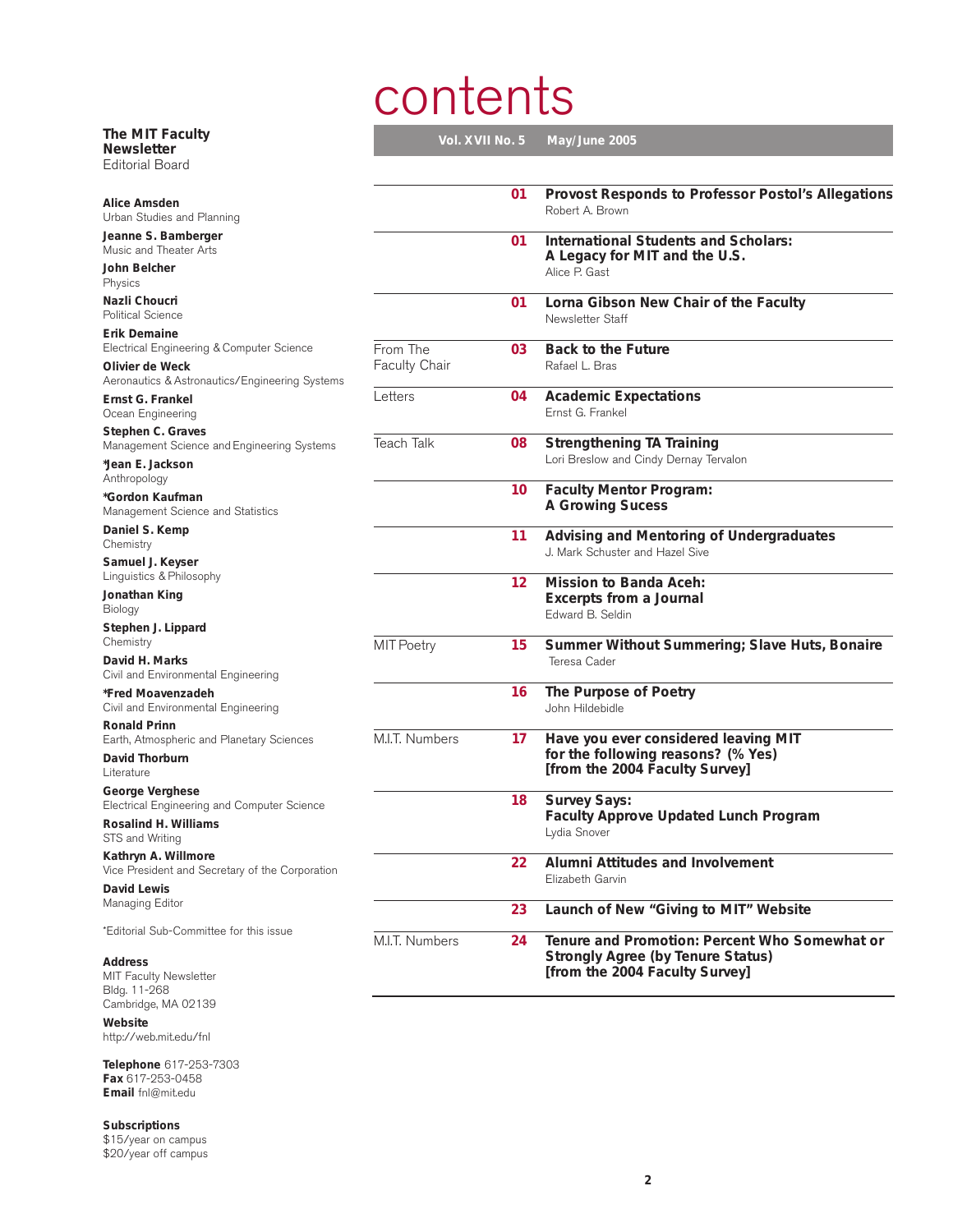# contents

| The MIT Faculty<br><b>Newsletter</b><br>Editorial Board                                 | Vol. XVII No. 5           |    | May/June 2005                                                               |
|-----------------------------------------------------------------------------------------|---------------------------|----|-----------------------------------------------------------------------------|
| <b>Alice Amsden</b><br>Urban Studies and Planning                                       |                           | 01 | Provost Responds to Professor Postol's Allegations<br>Robert A. Brown       |
| Jeanne S. Bamberger<br>Music and Theater Arts                                           |                           | 01 | International Students and Scholars:<br>A Legacy for MIT and the U.S.       |
| John Belcher<br>Physics                                                                 |                           |    | Alice P. Gast                                                               |
| Nazli Choucri<br><b>Political Science</b>                                               |                           | 01 | Lorna Gibson New Chair of the Faculty<br>Newsletter Staff                   |
| <b>Erik Demaine</b><br>Electrical Engineering & Computer Science<br>Olivier de Weck     | From The<br>Faculty Chair | 03 | <b>Back to the Future</b><br>Rafael L. Bras                                 |
| Aeronautics & Astronautics/Engineering Systems<br>Ernst G. Frankel<br>Ocean Engineering | Letters                   | 04 | <b>Academic Expectations</b><br>Ernst G. Frankel                            |
| <b>Stephen C. Graves</b><br>Management Science and Engineering Systems                  | <b>Teach Talk</b>         | 08 | <b>Strengthening TA Training</b><br>Lori Breslow and Cindy Dernay Tervalon  |
| *Jean E. Jackson<br>Anthropology                                                        |                           |    |                                                                             |
| *Gordon Kaufman<br>Management Science and Statistics                                    |                           | 10 | <b>Faculty Mentor Program:</b><br><b>A Growing Sucess</b>                   |
| Daniel S. Kemp<br>Chemistry                                                             |                           | 11 | Advising and Mentoring of Undergraduates<br>J. Mark Schuster and Hazel Sive |
| Samuel J. Keyser<br>Linguistics & Philosophy                                            |                           | 12 | <b>Mission to Banda Aceh:</b>                                               |
| Jonathan King<br>Biology                                                                |                           |    | <b>Excerpts from a Journal</b><br>Edward B. Seldin                          |
| Stephen J. Lippard<br>Chemistry                                                         | <b>MIT Poetry</b>         | 15 | Summer Without Summering; Slave Huts, Bonaire                               |
| David H. Marks<br>Civil and Environmental Engineering                                   |                           |    | Teresa Cader                                                                |
| *Fred Moavenzadeh<br>Civil and Environmental Engineering                                |                           | 16 | The Purpose of Poetry<br>John Hildebidle                                    |
| <b>Ronald Prinn</b><br>Earth, Atmospheric and Planetary Sciences                        | M.I.T. Numbers            | 17 | Have you ever considered leaving MIT<br>for the following reasons? (% Yes)  |
| David Thorburn<br>Literature                                                            |                           |    | [from the 2004 Faculty Survey]                                              |
| George Verghese<br>Electrical Engineering and Computer Science                          |                           | 18 | <b>Survey Says:</b>                                                         |
| Rosalind H. Williams<br>STS and Writing                                                 |                           |    | <b>Faculty Approve Updated Lunch Program</b><br>Lydia Snover                |
| Kathryn A. Willmore<br>Vice President and Secretary of the Corporation                  |                           | 22 | <b>Alumni Attitudes and Involvement</b>                                     |
| David Lewis                                                                             |                           |    | Elizabeth Garvin                                                            |
| Managing Editor                                                                         |                           | 23 | Launch of New "Giving to MIT" Website                                       |
| *Editorial Sub-Committee for this issue                                                 | M.I.T. Numbers            | 24 | Tenure and Promotion: Percent Who Somewhat or                               |
| <b>Address</b><br><b>MIT Faculty Newsletter</b><br>Bldg. 11-268<br>Cambridge, MA 02139  |                           |    | <b>Strongly Agree (by Tenure Status)</b><br>[from the 2004 Faculty Survey]  |

**Website** http://web.mit.edu/fnl

**Telephone** 617-253-7303 **Fax** 617-253-0458 **Email** fnl@mit.edu

**Subscriptions** \$15/year on campus \$20/year off campus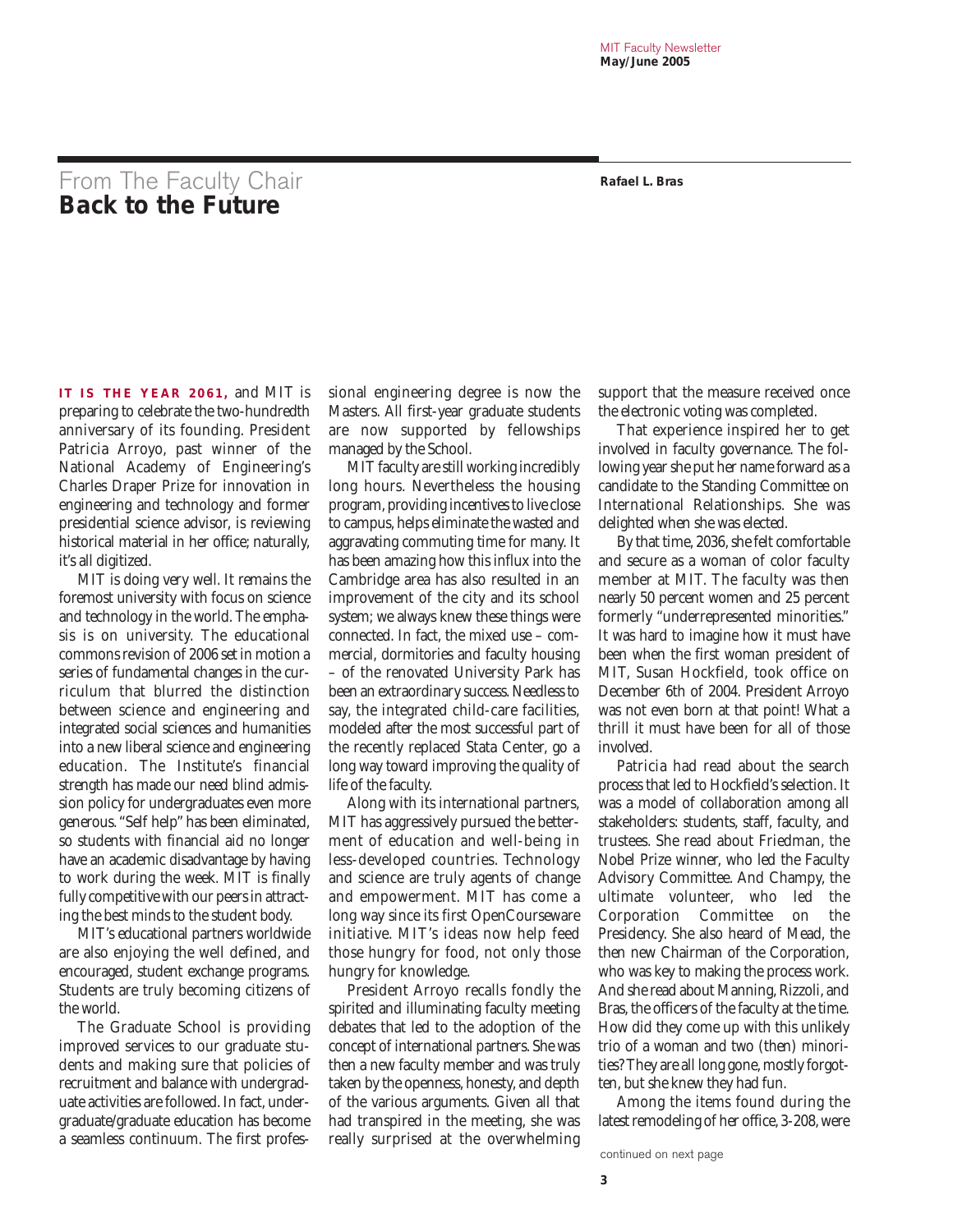MIT Faculty Newsletter **May/June 2005**

From The Faculty Chair **Rafael L. Bras Back to the Future**

**IT IS THE YEAR 2061,** and MIT is preparing to celebrate the two-hundredth anniversary of its founding. President Patricia Arroyo, past winner of the National Academy of Engineering's Charles Draper Prize for innovation in engineering and technology and former presidential science advisor, is reviewing historical material in her office; naturally, it's all digitized.

MIT is doing very well. It remains the foremost university with focus on science and technology in the world. The emphasis is on university. The educational commons revision of 2006 set in motion a series of fundamental changes in the curriculum that blurred the distinction between science and engineering and integrated social sciences and humanities into a new liberal science and engineering education. The Institute's financial strength has made our need blind admission policy for undergraduates even more generous. "Self help" has been eliminated, so students with financial aid no longer have an academic disadvantage by having to work during the week. MIT is finally fully competitive with our peers in attracting the best minds to the student body.

MIT's educational partners worldwide are also enjoying the well defined, and encouraged, student exchange programs. Students are truly becoming citizens of the world.

The Graduate School is providing improved services to our graduate students and making sure that policies of recruitment and balance with undergraduate activities are followed. In fact, undergraduate/graduate education has become a seamless continuum. The first professional engineering degree is now the Masters. All first-year graduate students are now supported by fellowships managed by the School.

MIT faculty are still working incredibly long hours. Nevertheless the housing program, providing incentives to live close to campus, helps eliminate the wasted and aggravating commuting time for many. It has been amazing how this influx into the Cambridge area has also resulted in an improvement of the city and its school system; we always knew these things were connected. In fact, the mixed use – commercial, dormitories and faculty housing – of the renovated University Park has been an extraordinary success. Needless to say, the integrated child-care facilities, modeled after the most successful part of the recently replaced Stata Center, go a long way toward improving the quality of life of the faculty.

Along with its international partners, MIT has aggressively pursued the betterment of education and well-being in less-developed countries. Technology and science are truly agents of change and empowerment. MIT has come a long way since its first OpenCourseware initiative. MIT's ideas now help feed those hungry for food, not only those hungry for knowledge.

President Arroyo recalls fondly the spirited and illuminating faculty meeting debates that led to the adoption of the concept of international partners. She was then a new faculty member and was truly taken by the openness, honesty, and depth of the various arguments. Given all that had transpired in the meeting, she was really surprised at the overwhelming support that the measure received once the electronic voting was completed.

That experience inspired her to get involved in faculty governance. The following year she put her name forward as a candidate to the Standing Committee on International Relationships. She was delighted when she was elected.

By that time, 2036, she felt comfortable and secure as a woman of color faculty member at MIT. The faculty was then nearly 50 percent women and 25 percent formerly "underrepresented minorities." It was hard to imagine how it must have been when the first woman president of MIT, Susan Hockfield, took office on December 6th of 2004. President Arroyo was not even born at that point! What a thrill it must have been for all of those involved.

Patricia had read about the search process that led to Hockfield's selection. It was a model of collaboration among all stakeholders: students, staff, faculty, and trustees. She read about Friedman, the Nobel Prize winner, who led the Faculty Advisory Committee. And Champy, the ultimate volunteer, who led the Corporation Committee on the Presidency. She also heard of Mead, the then new Chairman of the Corporation, who was key to making the process work. And she read about Manning, Rizzoli, and Bras, the officers of the faculty at the time. How did they come up with this unlikely trio of a woman and two (then) minorities? They are all long gone, mostly forgotten, but she knew they had fun.

Among the items found during the latest remodeling of her office, 3-208, were

continued on next page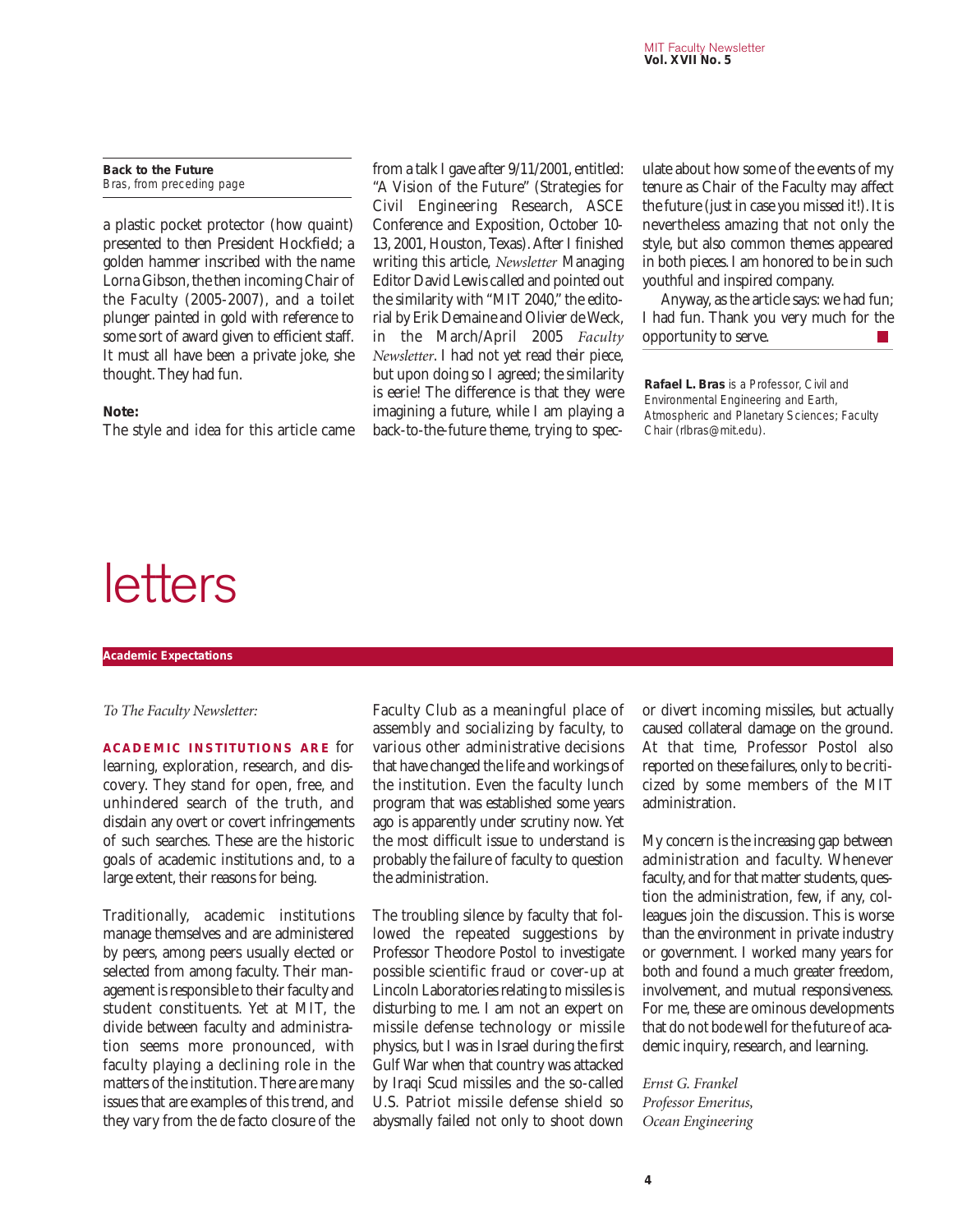#### **Back to the Future** Bras, from preceding page

a plastic pocket protector (how quaint) presented to then President Hockfield; a golden hammer inscribed with the name Lorna Gibson, the then incoming Chair of the Faculty (2005-2007), and a toilet plunger painted in gold with reference to some sort of award given to efficient staff. It must all have been a private joke, she thought. They had fun.

#### **Note:**

The style and idea for this article came

from a talk I gave after 9/11/2001, entitled: "A Vision of the Future" (Strategies for Civil Engineering Research, ASCE Conference and Exposition, October 10- 13, 2001, Houston, Texas). After I finished writing this article, *Newsletter* Managing Editor David Lewis called and pointed out the similarity with "MIT 2040," the editorial by Erik Demaine and Olivier de Weck, in the March/April 2005 *Faculty Newsletter*. I had not yet read their piece, but upon doing so I agreed; the similarity is eerie! The difference is that they were imagining a future, while I am playing a back-to-the-future theme, trying to spec-

ulate about how some of the events of my tenure as Chair of the Faculty may affect the future (just in case you missed it!). It is nevertheless amazing that not only the style, but also common themes appeared in both pieces. I am honored to be in such youthful and inspired company.

Anyway, as the article says: we had fun; I had fun. Thank you very much for the opportunity to serve. H

**Rafael L. Bras** is a Professor, Civil and Environmental Engineering and Earth, Atmospheric and Planetary Sciences; Faculty Chair *(rlbras@mit.edu).*

# letters

#### **Academic Expectations**

#### *To The Faculty Newsletter:*

**ACADEMIC IN STITUTIONS ARE** for learning, exploration, research, and discovery. They stand for open, free, and unhindered search of the truth, and disdain any overt or covert infringements of such searches. These are the historic goals of academic institutions and, to a large extent, their reasons for being.

Traditionally, academic institutions manage themselves and are administered by peers, among peers usually elected or selected from among faculty. Their management is responsible to their faculty and student constituents. Yet at MIT, the divide between faculty and administration seems more pronounced, with faculty playing a declining role in the matters of the institution. There are many issues that are examples of this trend, and they vary from the de facto closure of the

Faculty Club as a meaningful place of assembly and socializing by faculty, to various other administrative decisions that have changed the life and workings of the institution. Even the faculty lunch program that was established some years ago is apparently under scrutiny now. Yet the most difficult issue to understand is probably the failure of faculty to question the administration.

The troubling silence by faculty that followed the repeated suggestions by Professor Theodore Postol to investigate possible scientific fraud or cover-up at Lincoln Laboratories relating to missiles is disturbing to me. I am not an expert on missile defense technology or missile physics, but I was in Israel during the first Gulf War when that country was attacked by Iraqi Scud missiles and the so-called U.S. Patriot missile defense shield so abysmally failed not only to shoot down

or divert incoming missiles, but actually caused collateral damage on the ground. At that time, Professor Postol also reported on these failures, only to be criticized by some members of the MIT administration.

My concern is the increasing gap between administration and faculty. Whenever faculty, and for that matter students, question the administration, few, if any, colleagues join the discussion. This is worse than the environment in private industry or government. I worked many years for both and found a much greater freedom, involvement, and mutual responsiveness. For me, these are ominous developments that do not bode well for the future of academic inquiry, research, and learning.

*Ernst G. Frankel Professor Emeritus, Ocean Engineering*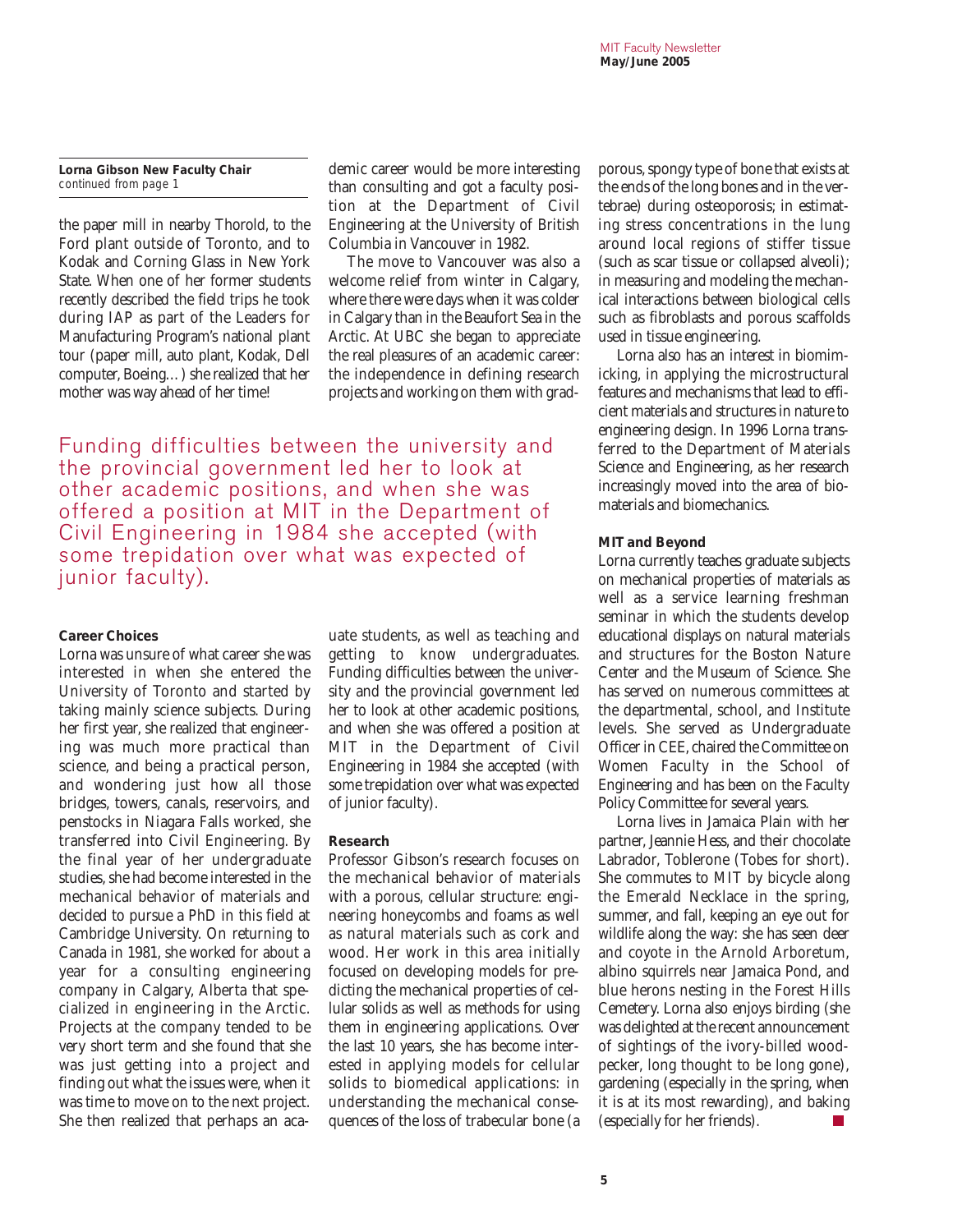**Lorna Gibson New Faculty Chair** continued from page 1

the paper mill in nearby Thorold, to the Ford plant outside of Toronto, and to Kodak and Corning Glass in New York State. When one of her former students recently described the field trips he took during IAP as part of the Leaders for Manufacturing Program's national plant tour (paper mill, auto plant, Kodak, Dell computer, Boeing…) she realized that her mother was way ahead of her time!

demic career would be more interesting than consulting and got a faculty position at the Department of Civil Engineering at the University of British Columbia in Vancouver in 1982.

The move to Vancouver was also a welcome relief from winter in Calgary, where there were days when it was colder in Calgary than in the Beaufort Sea in the Arctic. At UBC she began to appreciate the real pleasures of an academic career: the independence in defining research projects and working on them with grad-

Funding difficulties between the university and the provincial government led her to look at other academic positions, and when she was offered a position at MIT in the Department of Civil Engineering in 1984 she accepted (with some trepidation over what was expected of junior faculty).

#### **Career Choices**

Lorna was unsure of what career she was interested in when she entered the University of Toronto and started by taking mainly science subjects. During her first year, she realized that engineering was much more practical than science, and being a practical person, and wondering just how all those bridges, towers, canals, reservoirs, and penstocks in Niagara Falls worked, she transferred into Civil Engineering. By the final year of her undergraduate studies, she had become interested in the mechanical behavior of materials and decided to pursue a PhD in this field at Cambridge University. On returning to Canada in 1981, she worked for about a year for a consulting engineering company in Calgary, Alberta that specialized in engineering in the Arctic. Projects at the company tended to be very short term and she found that she was just getting into a project and finding out what the issues were, when it was time to move on to the next project. She then realized that perhaps an acauate students, as well as teaching and getting to know undergraduates. Funding difficulties between the university and the provincial government led her to look at other academic positions, and when she was offered a position at MIT in the Department of Civil Engineering in 1984 she accepted (with some trepidation over what was expected of junior faculty).

#### **Research**

Professor Gibson's research focuses on the mechanical behavior of materials with a porous, cellular structure: engineering honeycombs and foams as well as natural materials such as cork and wood. Her work in this area initially focused on developing models for predicting the mechanical properties of cellular solids as well as methods for using them in engineering applications. Over the last 10 years, she has become interested in applying models for cellular solids to biomedical applications: in understanding the mechanical consequences of the loss of trabecular bone (a porous, spongy type of bone that exists at the ends of the long bones and in the vertebrae) during osteoporosis; in estimating stress concentrations in the lung around local regions of stiffer tissue (such as scar tissue or collapsed alveoli); in measuring and modeling the mechanical interactions between biological cells such as fibroblasts and porous scaffolds used in tissue engineering.

Lorna also has an interest in biomimicking, in applying the microstructural features and mechanisms that lead to efficient materials and structures in nature to engineering design. In 1996 Lorna transferred to the Department of Materials Science and Engineering, as her research increasingly moved into the area of biomaterials and biomechanics.

#### **MIT and Beyond**

Lorna currently teaches graduate subjects on mechanical properties of materials as well as a service learning freshman seminar in which the students develop educational displays on natural materials and structures for the Boston Nature Center and the Museum of Science. She has served on numerous committees at the departmental, school, and Institute levels. She served as Undergraduate Officer in CEE, chaired the Committee on Women Faculty in the School of Engineering and has been on the Faculty Policy Committee for several years.

Lorna lives in Jamaica Plain with her partner, Jeannie Hess, and their chocolate Labrador, Toblerone (Tobes for short). She commutes to MIT by bicycle along the Emerald Necklace in the spring, summer, and fall, keeping an eye out for wildlife along the way: she has seen deer and coyote in the Arnold Arboretum, albino squirrels near Jamaica Pond, and blue herons nesting in the Forest Hills Cemetery. Lorna also enjoys birding (she was delighted at the recent announcement of sightings of the ivory-billed woodpecker, long thought to be long gone), gardening (especially in the spring, when it is at its most rewarding), and baking (especially for her friends).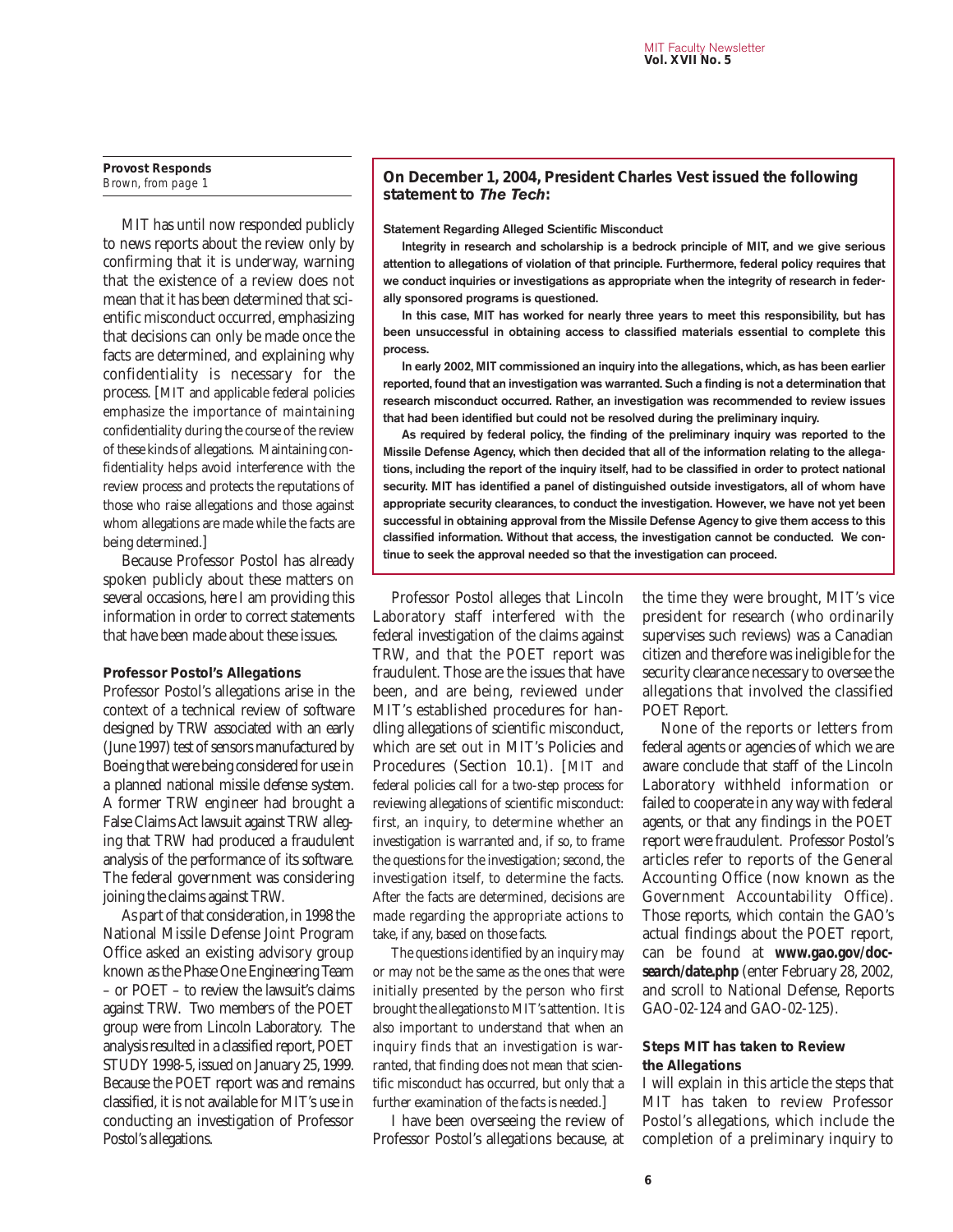# **Provost Responds**

MIT has until now responded publicly to news reports about the review only by confirming that it is underway, warning that the existence of a review does not mean that it has been determined that scientific misconduct occurred, emphasizing that decisions can only be made once the facts are determined, and explaining why confidentiality is necessary for the process. [MIT and applicable federal policies emphasize the importance of maintaining confidentiality during the course of the review of these kinds of allegations. Maintaining confidentiality helps avoid interference with the review process and protects the reputations of those who raise allegations and those against whom allegations are made while the facts are being determined.]

Because Professor Postol has already spoken publicly about these matters on several occasions, here I am providing this information in order to correct statements that have been made about these issues.

#### **Professor Postol's Allegations**

Professor Postol's allegations arise in the context of a technical review of software designed by TRW associated with an early (June 1997) test of sensors manufactured by Boeing that were being considered for use in a planned national missile defense system. A former TRW engineer had brought a False Claims Act lawsuit against TRW alleging that TRW had produced a fraudulent analysis of the performance of its software. The federal government was considering joining the claims against TRW.

As part of that consideration, in 1998 the National Missile Defense Joint Program Office asked an existing advisory group known as the Phase One Engineering Team – or POET – to review the lawsuit's claims against TRW. Two members of the POET group were from Lincoln Laboratory. The analysis resulted in a classified report, POET STUDY 1998-5, issued on January 25, 1999. Because the POET report was and remains classified, it is not available for MIT's use in conducting an investigation of Professor Postol's allegations.

#### **Brown, from page 1 CONSTRESS CONSTRESS CONSTRESS PROPERTY CONSTRESS PROPERTY BECOMIC BECOMIC BY ON December 1, 2004, President Charles Vest issued the following statement to** *The Tech***:**

**Statement Regarding Alleged Scientific Misconduct**

**Integrity in research and scholarship is a bedrock principle of MIT, and we give serious attention to allegations of violation of that principle. Furthermore, federal policy requires that we conduct inquiries or investigations as appropriate when the integrity of research in federally sponsored programs is questioned.**

**In this case, MIT has worked for nearly three years to meet this responsibility, but has been unsuccessful in obtaining access to classified materials essential to complete this process.**

**In early 2002, MIT commissioned an inquiry into the allegations, which, as has been earlier reported, found that an investigation was warranted. Such a finding is not a determination that research misconduct occurred. Rather, an investigation was recommended to review issues that had been identified but could not be resolved during the preliminary inquiry.**

**As required by federal policy, the finding of the preliminary inquiry was reported to the Missile Defense Agency, which then decided that all of the information relating to the allegations, including the report of the inquiry itself, had to be classified in order to protect national security. MIT has identified a panel of distinguished outside investigators, all of whom have appropriate security clearances, to conduct the investigation. However, we have not yet been successful in obtaining approval from the Missile Defense Agency to give them access to this classified information. Without that access, the investigation cannot be conducted. We continue to seek the approval needed so that the investigation can proceed.**

Professor Postol alleges that Lincoln Laboratory staff interfered with the federal investigation of the claims against TRW, and that the POET report was fraudulent. Those are the issues that have been, and are being, reviewed under MIT's established procedures for handling allegations of scientific misconduct, which are set out in MIT's Policies and Procedures (Section 10.1). [MIT and federal policies call for a two-step process for reviewing allegations of scientific misconduct: first, an inquiry, to determine whether an investigation is warranted and, if so, to frame the questions for the investigation; second, the investigation itself, to determine the facts. After the facts are determined, decisions are made regarding the appropriate actions to take, if any, based on those facts.

The questions identified by an inquiry may or may not be the same as the ones that were initially presented by the person who first brought the allegations to MIT's attention. It is also important to understand that when an inquiry finds that an investigation is warranted, that finding does not mean that scientific misconduct has occurred, but only that a further examination of the facts is needed.]

I have been overseeing the review of Professor Postol's allegations because, at

the time they were brought, MIT's vice president for research (who ordinarily supervises such reviews) was a Canadian citizen and therefore was ineligible for the security clearance necessary to oversee the allegations that involved the classified POET Report.

None of the reports or letters from federal agents or agencies of which we are aware conclude that staff of the Lincoln Laboratory withheld information or failed to cooperate in any way with federal agents, or that any findings in the POET report were fraudulent. Professor Postol's articles refer to reports of the General Accounting Office (now known as the Government Accountability Office). Those reports, which contain the GAO's actual findings about the POET report, can be found at *www.gao.gov/docsearch/date.php* (enter February 28, 2002, and scroll to National Defense, Reports GAO-02-124 and GAO-02-125).

#### **Steps MIT has taken to Review the Allegations**

I will explain in this article the steps that MIT has taken to review Professor Postol's allegations, which include the completion of a preliminary inquiry to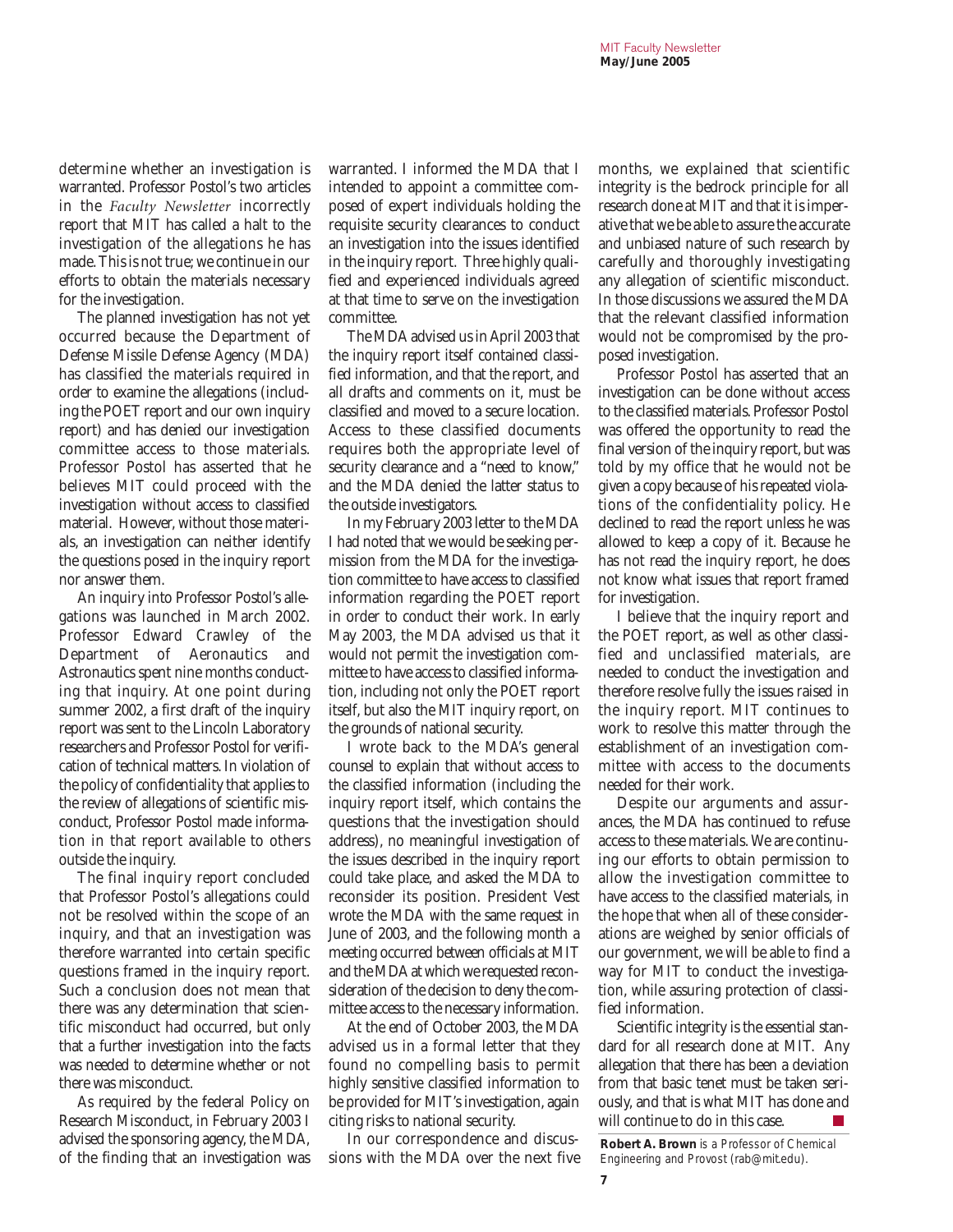determine whether an investigation is warranted. Professor Postol's two articles in the *Faculty Newsletter* incorrectly report that MIT has called a halt to the investigation of the allegations he has made. This is not true; we continue in our efforts to obtain the materials necessary for the investigation.

The planned investigation has not yet occurred because the Department of Defense Missile Defense Agency (MDA) has classified the materials required in order to examine the allegations (including the POET report and our own inquiry report) and has denied our investigation committee access to those materials. Professor Postol has asserted that he believes MIT could proceed with the investigation without access to classified material. However, without those materials, an investigation can neither identify the questions posed in the inquiry report nor answer them.

An inquiry into Professor Postol's allegations was launched in March 2002. Professor Edward Crawley of the Department of Aeronautics and Astronautics spent nine months conducting that inquiry. At one point during summer 2002, a first draft of the inquiry report was sent to the Lincoln Laboratory researchers and Professor Postol for verification of technical matters. In violation of the policy of confidentiality that applies to the review of allegations of scientific misconduct, Professor Postol made information in that report available to others outside the inquiry.

The final inquiry report concluded that Professor Postol's allegations could not be resolved within the scope of an inquiry, and that an investigation was therefore warranted into certain specific questions framed in the inquiry report. Such a conclusion does not mean that there was any determination that scientific misconduct had occurred, but only that a further investigation into the facts was needed to determine whether or not there was misconduct.

As required by the federal Policy on Research Misconduct, in February 2003 I advised the sponsoring agency, the MDA, of the finding that an investigation was warranted. I informed the MDA that I intended to appoint a committee composed of expert individuals holding the requisite security clearances to conduct an investigation into the issues identified in the inquiry report. Three highly qualified and experienced individuals agreed at that time to serve on the investigation committee.

The MDA advised us in April 2003 that the inquiry report itself contained classified information, and that the report, and all drafts and comments on it, must be classified and moved to a secure location. Access to these classified documents requires both the appropriate level of security clearance and a "need to know," and the MDA denied the latter status to the outside investigators.

In my February 2003 letter to the MDA I had noted that we would be seeking permission from the MDA for the investigation committee to have access to classified information regarding the POET report in order to conduct their work. In early May 2003, the MDA advised us that it would not permit the investigation committee to have access to classified information, including not only the POET report itself, but also the MIT inquiry report, on the grounds of national security.

I wrote back to the MDA's general counsel to explain that without access to the classified information (including the inquiry report itself, which contains the questions that the investigation should address), no meaningful investigation of the issues described in the inquiry report could take place, and asked the MDA to reconsider its position. President Vest wrote the MDA with the same request in June of 2003, and the following month a meeting occurred between officials at MIT and the MDA at which we requested reconsideration of the decision to deny the committee access to the necessary information.

At the end of October 2003, the MDA advised us in a formal letter that they found no compelling basis to permit highly sensitive classified information to be provided for MIT's investigation, again citing risks to national security.

In our correspondence and discussions with the MDA over the next five

months, we explained that scientific integrity is the bedrock principle for all research done at MIT and that it is imperative that we be able to assure the accurate and unbiased nature of such research by carefully and thoroughly investigating any allegation of scientific misconduct. In those discussions we assured the MDA that the relevant classified information would not be compromised by the proposed investigation.

Professor Postol has asserted that an investigation can be done without access to the classified materials. Professor Postol was offered the opportunity to read the final version of the inquiry report, but was told by my office that he would not be given a copy because of his repeated violations of the confidentiality policy. He declined to read the report unless he was allowed to keep a copy of it. Because he has not read the inquiry report, he does not know what issues that report framed for investigation.

I believe that the inquiry report and the POET report, as well as other classified and unclassified materials, are needed to conduct the investigation and therefore resolve fully the issues raised in the inquiry report. MIT continues to work to resolve this matter through the establishment of an investigation committee with access to the documents needed for their work.

Despite our arguments and assurances, the MDA has continued to refuse access to these materials. We are continuing our efforts to obtain permission to allow the investigation committee to have access to the classified materials, in the hope that when all of these considerations are weighed by senior officials of our government, we will be able to find a way for MIT to conduct the investigation, while assuring protection of classified information.

Scientific integrity is the essential standard for all research done at MIT. Any allegation that there has been a deviation from that basic tenet must be taken seriously, and that is what MIT has done and will continue to do in this case.

**Robert A. Brown** is a Professor of Chemical Engineering and Provost *(rab@mit.edu).*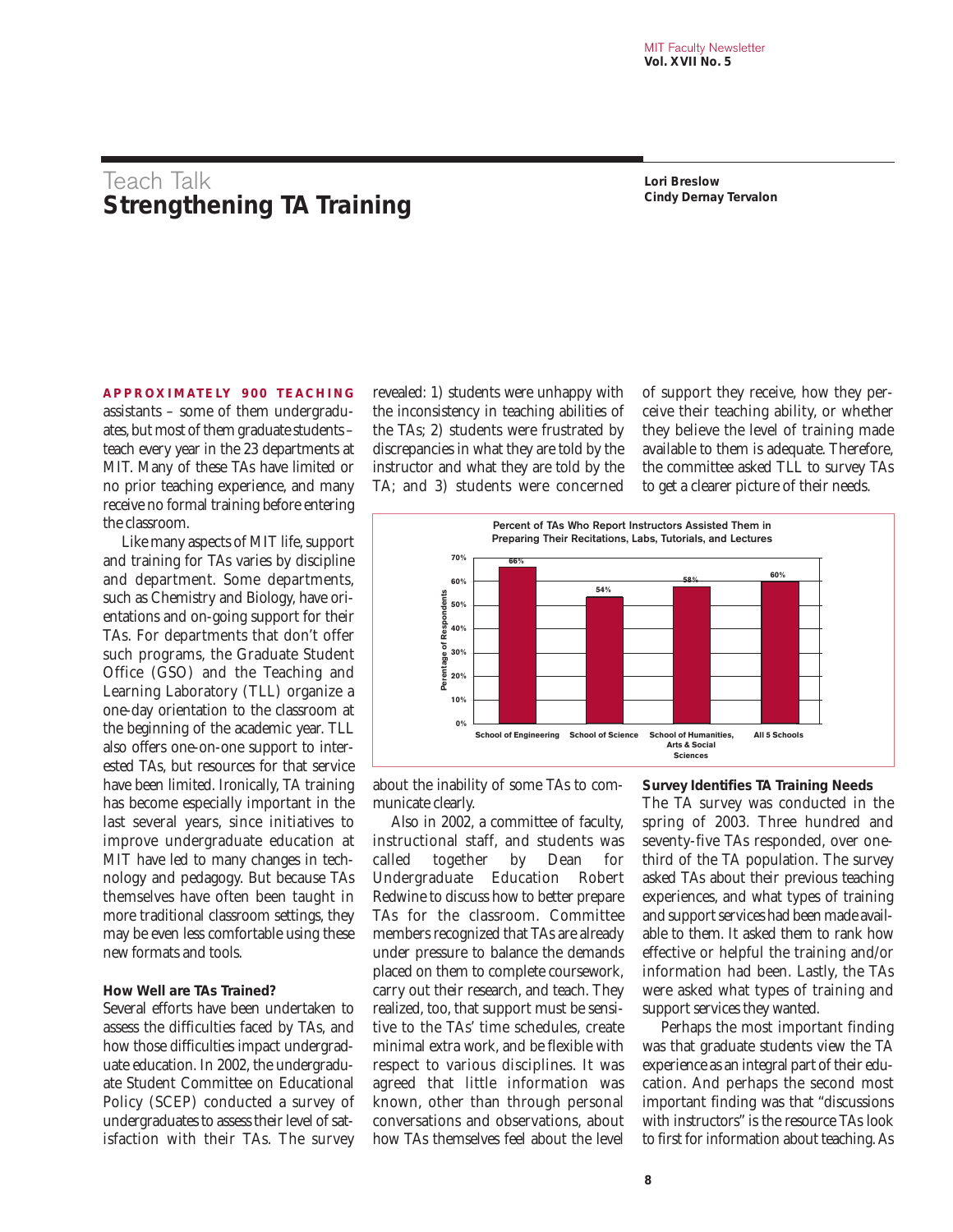# Teach Talk **Strengthening TA Training**

**Lori Breslow Cindy Dernay Tervalon**

**APPROXIMATELY 900 TEACHING** assistants – some of them undergraduates, but most of them graduate students – teach every year in the 23 departments at MIT. Many of these TAs have limited or no prior teaching experience, and many receive no formal training before entering the classroom.

Like many aspects of MIT life, support and training for TAs varies by discipline and department. Some departments, such as Chemistry and Biology, have orientations and on-going support for their TAs. For departments that don't offer such programs, the Graduate Student Office (GSO) and the Teaching and Learning Laboratory (TLL) organize a one-day orientation to the classroom at the beginning of the academic year. TLL also offers one-on-one support to interested TAs, but resources for that service have been limited. Ironically, TA training has become especially important in the last several years, since initiatives to improve undergraduate education at MIT have led to many changes in technology and pedagogy. But because TAs themselves have often been taught in more traditional classroom settings, they may be even less comfortable using these new formats and tools.

#### **How Well are TAs Trained?**

Several efforts have been undertaken to assess the difficulties faced by TAs, and how those difficulties impact undergraduate education. In 2002, the undergraduate Student Committee on Educational Policy (SCEP) conducted a survey of undergraduates to assess their level of satisfaction with their TAs. The survey revealed: 1) students were unhappy with the inconsistency in teaching abilities of the TAs; 2) students were frustrated by discrepancies in what they are told by the instructor and what they are told by the TA; and 3) students were concerned of support they receive, how they perceive their teaching ability, or whether they believe the level of training made available to them is adequate. Therefore, the committee asked TLL to survey TAs to get a clearer picture of their needs.



about the inability of some TAs to communicate clearly.

Also in 2002, a committee of faculty, instructional staff, and students was called together by Dean for Undergraduate Education Robert Redwine to discuss how to better prepare TAs for the classroom. Committee members recognized that TAs are already under pressure to balance the demands placed on them to complete coursework, carry out their research, and teach. They realized, too, that support must be sensitive to the TAs' time schedules, create minimal extra work, and be flexible with respect to various disciplines. It was agreed that little information was known, other than through personal conversations and observations, about how TAs themselves feel about the level

#### **Survey Identifies TA Training Needs**

The TA survey was conducted in the spring of 2003. Three hundred and seventy-five TAs responded, over onethird of the TA population. The survey asked TAs about their previous teaching experiences, and what types of training and support services had been made available to them. It asked them to rank how effective or helpful the training and/or information had been. Lastly, the TAs were asked what types of training and support services they wanted.

Perhaps the most important finding was that graduate students view the TA experience as an integral part of their education. And perhaps the second most important finding was that "discussions with instructors" is the resource TAs look to first for information about teaching. As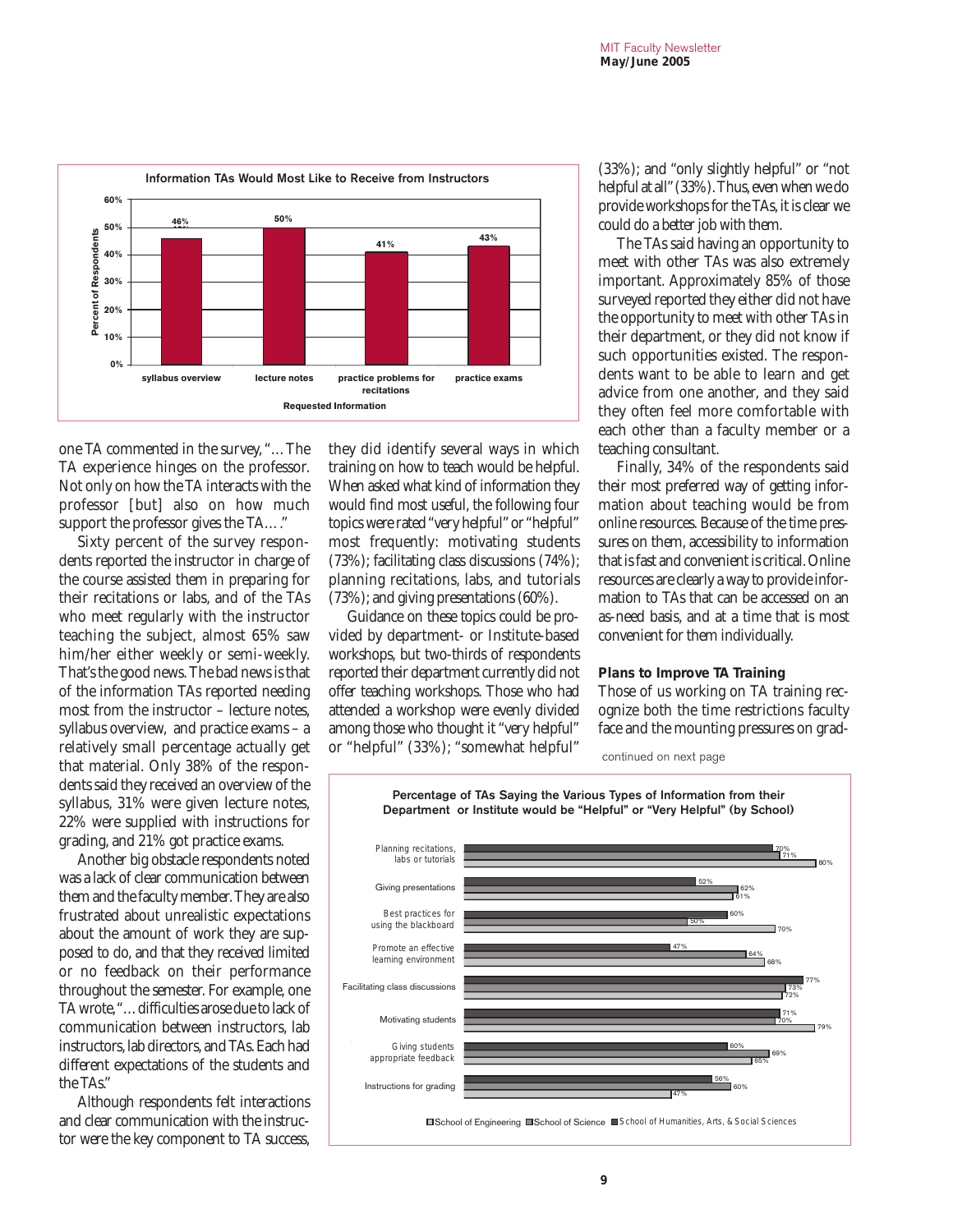

one TA commented in the survey, "…The TA experience hinges on the professor. Not only on how the TA interacts with the professor [but] also on how much support the professor gives the TA...."

Sixty percent of the survey respondents reported the instructor in charge of the course assisted them in preparing for their recitations or labs, and of the TAs who meet regularly with the instructor teaching the subject, almost 65% saw him/her either weekly or semi-weekly. That's the good news. The bad news is that of the information TAs reported needing most from the instructor – lecture notes, syllabus overview, and practice exams – a relatively small percentage actually get that material. Only 38% of the respondents said they received an overview of the syllabus, 31% were given lecture notes, 22% were supplied with instructions for grading, and 21% got practice exams.

Another big obstacle respondents noted was a lack of clear communication between them and the faculty member. They are also frustrated about unrealistic expectations about the amount of work they are supposed to do, and that they received limited or no feedback on their performance throughout the semester. For example, one TAwrote,"…difficulties arose due to lack of communication between instructors, lab instructors, lab directors, and TAs. Each had different expectations of the students and the TAs."

Although respondents felt interactions and clear communication with the instructor were the key component to TA success,

they did identify several ways in which training on how to teach would be helpful. When asked what kind of information they would find most useful, the following four topics were rated "very helpful" or "helpful" most frequently: motivating students (73%); facilitating class discussions (74%); planning recitations, labs, and tutorials (73%); and giving presentations (60%).

Guidance on these topics could be provided by department- or Institute-based workshops, but two-thirds of respondents reported their department currently did not offer teaching workshops. Those who had attended a workshop were evenly divided among those who thought it "very helpful" or "helpful" (33%); "somewhat helpful"

(33%); and "only slightly helpful" or "not helpful at all" (33%). Thus, even when we do provide workshops for the TAs, it is clear we could do a better job with them.

The TAs said having an opportunity to meet with other TAs was also extremely important. Approximately 85% of those surveyed reported they either did not have the opportunity to meet with other TAs in their department, or they did not know if such opportunities existed. The respondents want to be able to learn and get advice from one another, and they said they often feel more comfortable with each other than a faculty member or a teaching consultant.

Finally, 34% of the respondents said their most preferred way of getting information about teaching would be from online resources. Because of the time pressures on them, accessibility to information that is fast and convenient is critical. Online resources are clearly a way to provide information to TAs that can be accessed on an as-need basis, and at a time that is most convenient for them individually.

#### **Plans to Improve TA Training**

Those of us working on TA training recognize both the time restrictions faculty face and the mounting pressures on grad-

continued on next page

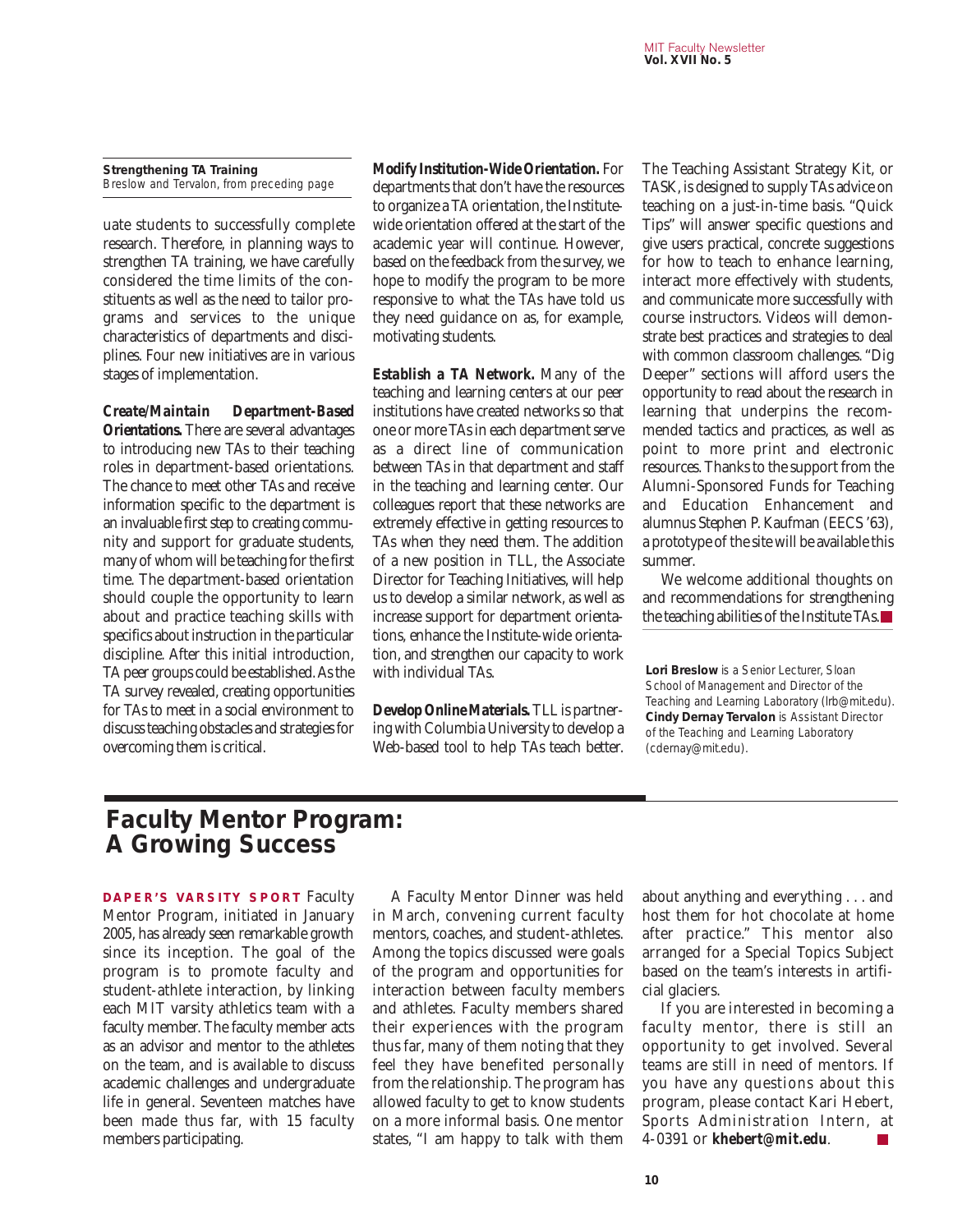**Strengthening TA Training** Breslow and Tervalon, from preceding page

uate students to successfully complete research. Therefore, in planning ways to strengthen TA training, we have carefully considered the time limits of the constituents as well as the need to tailor programs and services to the unique characteristics of departments and disciplines. Four new initiatives are in various stages of implementation.

*Create/Maintain Department-Based Orientations.* There are several advantages to introducing new TAs to their teaching roles in department-based orientations. The chance to meet other TAs and receive information specific to the department is an invaluable first step to creating community and support for graduate students, many of whom will be teaching for the first time. The department-based orientation should couple the opportunity to learn about and practice teaching skills with specifics about instruction in the particular discipline. After this initial introduction, TA peer groups could be established. As the TA survey revealed, creating opportunities for TAs to meet in a social environment to discuss teaching obstacles and strategies for overcoming them is critical.

*Modify Institution-Wide Orientation.* For departments that don't have the resources to organize a TA orientation, the Institutewide orientation offered at the start of the academic year will continue. However, based on the feedback from the survey, we hope to modify the program to be more responsive to what the TAs have told us they need guidance on as, for example, motivating students.

*Establish a TA Network.* Many of the teaching and learning centers at our peer institutions have created networks so that one or more TAs in each department serve as a direct line of communication between TAs in that department and staff in the teaching and learning center. Our colleagues report that these networks are extremely effective in getting resources to TAs when they need them. The addition of a new position in TLL, the Associate Director for Teaching Initiatives, will help us to develop a similar network, as well as increase support for department orientations, enhance the Institute-wide orientation, and strengthen our capacity to work with individual TAs.

*Develop Online Materials.* TLL is partnering with Columbia University to develop a Web-based tool to help TAs teach better.

The Teaching Assistant Strategy Kit, or TASK, is designed to supply TAs advice on teaching on a just-in-time basis. "Quick Tips" will answer specific questions and give users practical, concrete suggestions for how to teach to enhance learning, interact more effectively with students, and communicate more successfully with course instructors. Videos will demonstrate best practices and strategies to deal with common classroom challenges. "Dig Deeper" sections will afford users the opportunity to read about the research in learning that underpins the recommended tactics and practices, as well as point to more print and electronic resources. Thanks to the support from the Alumni-Sponsored Funds for Teaching and Education Enhancement and alumnus Stephen P. Kaufman (EECS '63), a prototype of the site will be available this summer.

We welcome additional thoughts on and recommendations for strengthening the teaching abilities of the Institute TAs.

**Lori Breslow** is a Senior Lecturer, Sloan School of Management and Director of the Teaching and Learning Laboratory *(lrb@mit.edu).* **Cindy Dernay Tervalon** is Assistant Director of the Teaching and Learning Laboratory *(cdernay@mit.edu).* 

# **Faculty Mentor Program: A Growing Success**

**DAPER'S VARSITY SPORT** Faculty Mentor Program, initiated in January 2005, has already seen remarkable growth since its inception. The goal of the program is to promote faculty and student-athlete interaction, by linking each MIT varsity athletics team with a faculty member. The faculty member acts as an advisor and mentor to the athletes on the team, and is available to discuss academic challenges and undergraduate life in general. Seventeen matches have been made thus far, with 15 faculty members participating.

A Faculty Mentor Dinner was held in March, convening current faculty mentors, coaches, and student-athletes. Among the topics discussed were goals of the program and opportunities for interaction between faculty members and athletes. Faculty members shared their experiences with the program thus far, many of them noting that they feel they have benefited personally from the relationship. The program has allowed faculty to get to know students on a more informal basis. One mentor states, "I am happy to talk with them

about anything and everything . . . and host them for hot chocolate at home after practice." This mentor also arranged for a Special Topics Subject based on the team's interests in artificial glaciers.

If you are interested in becoming a faculty mentor, there is still an opportunity to get involved. Several teams are still in need of mentors. If you have any questions about this program, please contact Kari Hebert, Sports Administration Intern, at 4-0391 or *khebert@mit.edu.*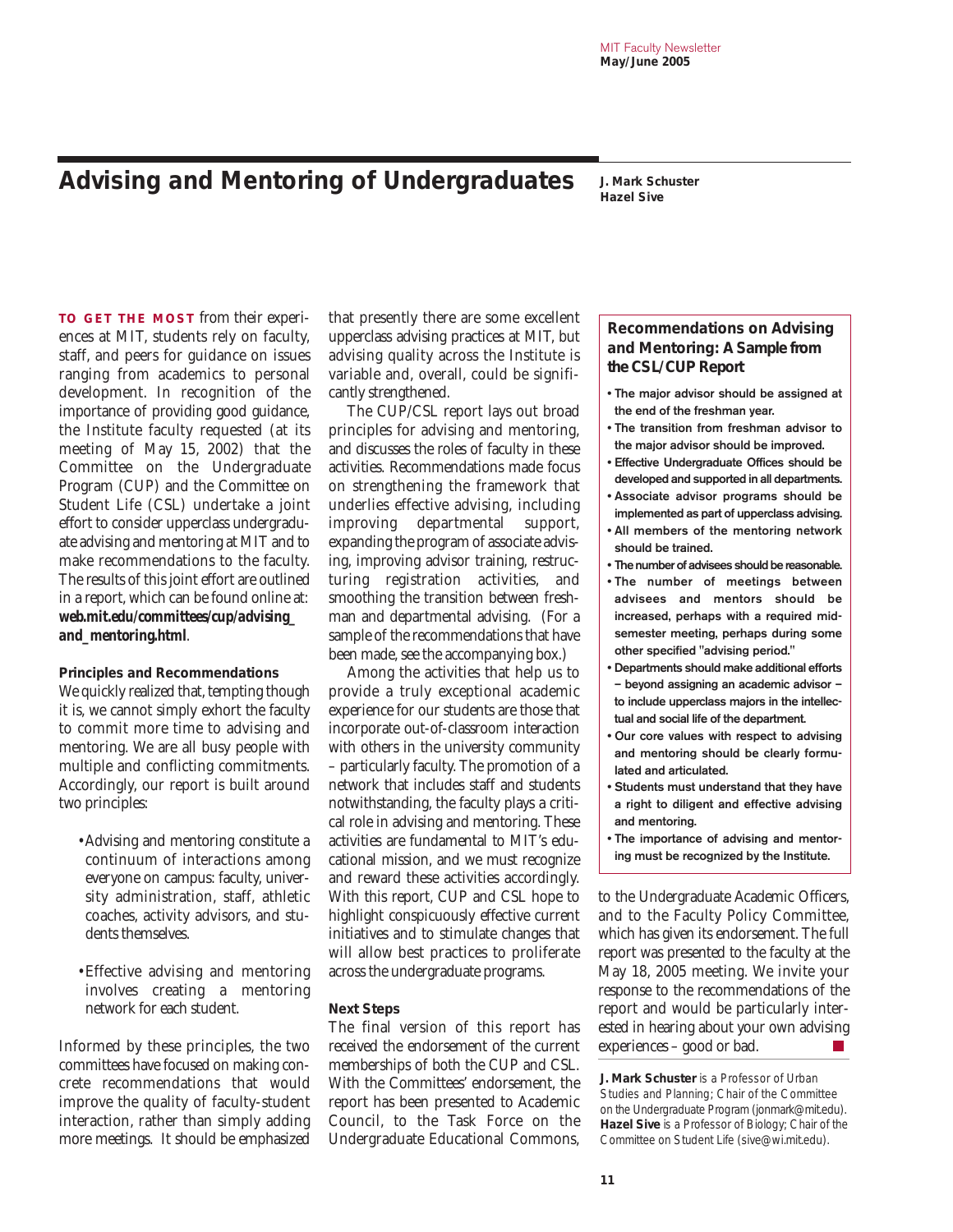# **Advising and Mentoring of Undergraduates**

**J. Mark Schuster Hazel Sive**

**TO GET THE MOST** from their experiences at MIT, students rely on faculty, staff, and peers for guidance on issues ranging from academics to personal development. In recognition of the importance of providing good guidance, the Institute faculty requested (at its meeting of May 15, 2002) that the Committee on the Undergraduate Program (CUP) and the Committee on Student Life (CSL) undertake a joint effort to consider upperclass undergraduate advising and mentoring at MIT and to make recommendations to the faculty. The results of this joint effort are outlined in a report, which can be found online at: *web.mit.edu/committees/cup/advising\_ and\_mentoring.html*.

#### **Principles and Recommendations**

We quickly realized that, tempting though it is, we cannot simply exhort the faculty to commit more time to advising and mentoring. We are all busy people with multiple and conflicting commitments. Accordingly, our report is built around two principles:

- Advising and mentoring constitute a continuum of interactions among everyone on campus: faculty, university administration, staff, athletic coaches, activity advisors, and students themselves
- Effective advising and mentoring involves creating a mentoring network for each student.

Informed by these principles, the two committees have focused on making concrete recommendations that would improve the quality of faculty-student interaction, rather than simply adding more meetings. It should be emphasized

that presently there are some excellent upperclass advising practices at MIT, but advising quality across the Institute is variable and, overall, could be significantly strengthened.

The CUP/CSL report lays out broad principles for advising and mentoring, and discusses the roles of faculty in these activities. Recommendations made focus on strengthening the framework that underlies effective advising, including improving departmental support, expanding the program of associate advising, improving advisor training, restructuring registration activities, and smoothing the transition between freshman and departmental advising. (For a sample of the recommendations that have been made, see the accompanying box.)

Among the activities that help us to provide a truly exceptional academic experience for our students are those that incorporate out-of-classroom interaction with others in the university community – particularly faculty. The promotion of a network that includes staff and students notwithstanding, the faculty plays a critical role in advising and mentoring. These activities are fundamental to MIT's educational mission, and we must recognize and reward these activities accordingly. With this report, CUP and CSL hope to highlight conspicuously effective current initiatives and to stimulate changes that will allow best practices to proliferate across the undergraduate programs.

#### **Next Steps**

The final version of this report has received the endorsement of the current memberships of both the CUP and CSL. With the Committees' endorsement, the report has been presented to Academic Council, to the Task Force on the Undergraduate Educational Commons,

#### **Recommendations on Advising and Mentoring: A Sample from the CSL/CUP Report**

- **The major advisor should be assigned at the end of the freshman year.**
- **The transition from freshman advisor to the major advisor should be improved.**
- **Effective Undergraduate Offices should be developed and supported in all departments.**
- **Associate advisor programs should be implemented as part of upperclass advising.**
- **All members of the mentoring network should be trained.**
- **The number of advisees should be reasonable.**
- **The number of meetings between advisees and mentors should be increased, perhaps with a required midsemester meeting, perhaps during some other specified "advising period."**
- **• Departments should make additional efforts – beyond assigning an academic advisor – to include upperclass majors in the intellectual and social life of the department.**
- **Our core values with respect to advising and mentoring should be clearly formulated and articulated.**
- **Students must understand that they have a right to diligent and effective advising and mentoring.**
- **The importance of advising and mentoring must be recognized by the Institute.**

to the Undergraduate Academic Officers, and to the Faculty Policy Committee, which has given its endorsement. The full report was presented to the faculty at the May 18, 2005 meeting. We invite your response to the recommendations of the report and would be particularly interested in hearing about your own advising experiences – good or bad.  $\mathbb{R}^n$ 

**J. Mark Schuster** is a Professor of Urban Studies and Planning; Chair of the Committee on the Undergraduate Program *(jonmark@mit.edu).* **Hazel Sive** is a Professor of Biology; Chair of the Committee on Student Life *(sive@wi.mit.edu).*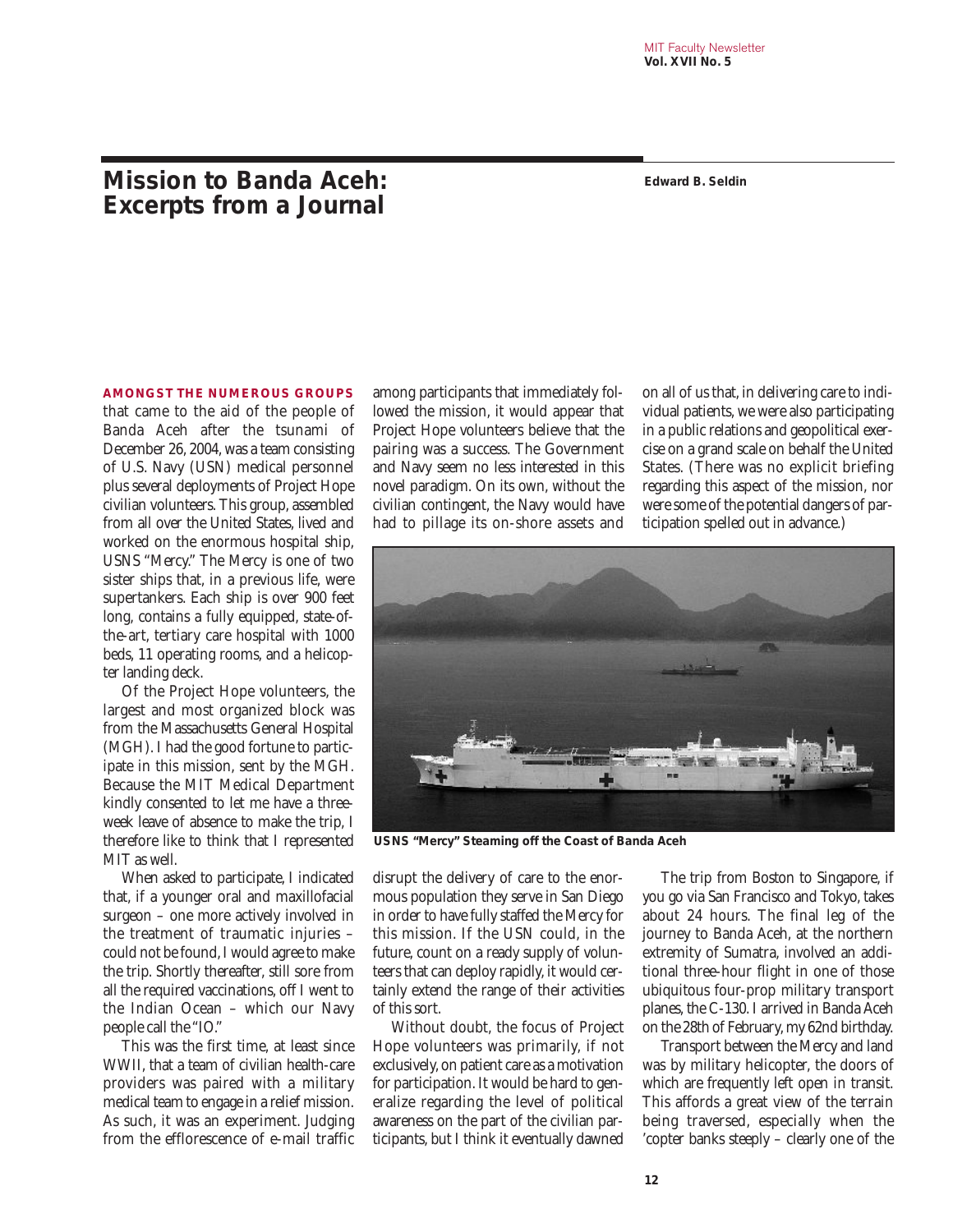# **Mission to Banda Aceh:** Edward B. Seldin **Excerpts from a Journal**

#### **AMONGST THE NUMEROUS GROUPS**

that came to the aid of the people of Banda Aceh after the tsunami of December 26, 2004, was a team consisting of U.S. Navy (USN) medical personnel plus several deployments of Project Hope civilian volunteers. This group, assembled from all over the United States, lived and worked on the enormous hospital ship, USNS "Mercy." The Mercy is one of two sister ships that, in a previous life, were supertankers. Each ship is over 900 feet long, contains a fully equipped, state-ofthe-art, tertiary care hospital with 1000 beds, 11 operating rooms, and a helicopter landing deck.

Of the Project Hope volunteers, the largest and most organized block was from the Massachusetts General Hospital (MGH). I had the good fortune to participate in this mission, sent by the MGH. Because the MIT Medical Department kindly consented to let me have a threeweek leave of absence to make the trip, I therefore like to think that I represented MIT as well.

When asked to participate, I indicated that, if a younger oral and maxillofacial surgeon – one more actively involved in the treatment of traumatic injuries – could not be found, I would agree to make the trip. Shortly thereafter, still sore from all the required vaccinations, off I went to the Indian Ocean – which our Navy people call the "IO."

This was the first time, at least since WWII, that a team of civilian health-care providers was paired with a military medical team to engage in a relief mission. As such, it was an experiment. Judging from the efflorescence of e-mail traffic

among participants that immediately followed the mission, it would appear that Project Hope volunteers believe that the pairing was a success. The Government and Navy seem no less interested in this novel paradigm. On its own, without the civilian contingent, the Navy would have had to pillage its on-shore assets and

on all of us that, in delivering care to individual patients, we were also participating in a public relations and geopolitical exercise on a grand scale on behalf the United States. (There was no explicit briefing regarding this aspect of the mission, nor were some of the potential dangers of participation spelled out in advance.)



**USNS "Mercy" Steaming off the Coast of Banda Aceh**

disrupt the delivery of care to the enormous population they serve in San Diego in order to have fully staffed the Mercy for this mission. If the USN could, in the future, count on a ready supply of volunteers that can deploy rapidly, it would certainly extend the range of their activities of this sort.

Without doubt, the focus of Project Hope volunteers was primarily, if not exclusively, on patient care as a motivation for participation. It would be hard to generalize regarding the level of political awareness on the part of the civilian participants, but I think it eventually dawned

The trip from Boston to Singapore, if you go via San Francisco and Tokyo, takes about 24 hours. The final leg of the journey to Banda Aceh, at the northern extremity of Sumatra, involved an additional three-hour flight in one of those ubiquitous four-prop military transport planes, the C-130. I arrived in Banda Aceh on the 28th of February, my 62nd birthday.

Transport between the Mercy and land was by military helicopter, the doors of which are frequently left open in transit. This affords a great view of the terrain being traversed, especially when the 'copter banks steeply – clearly one of the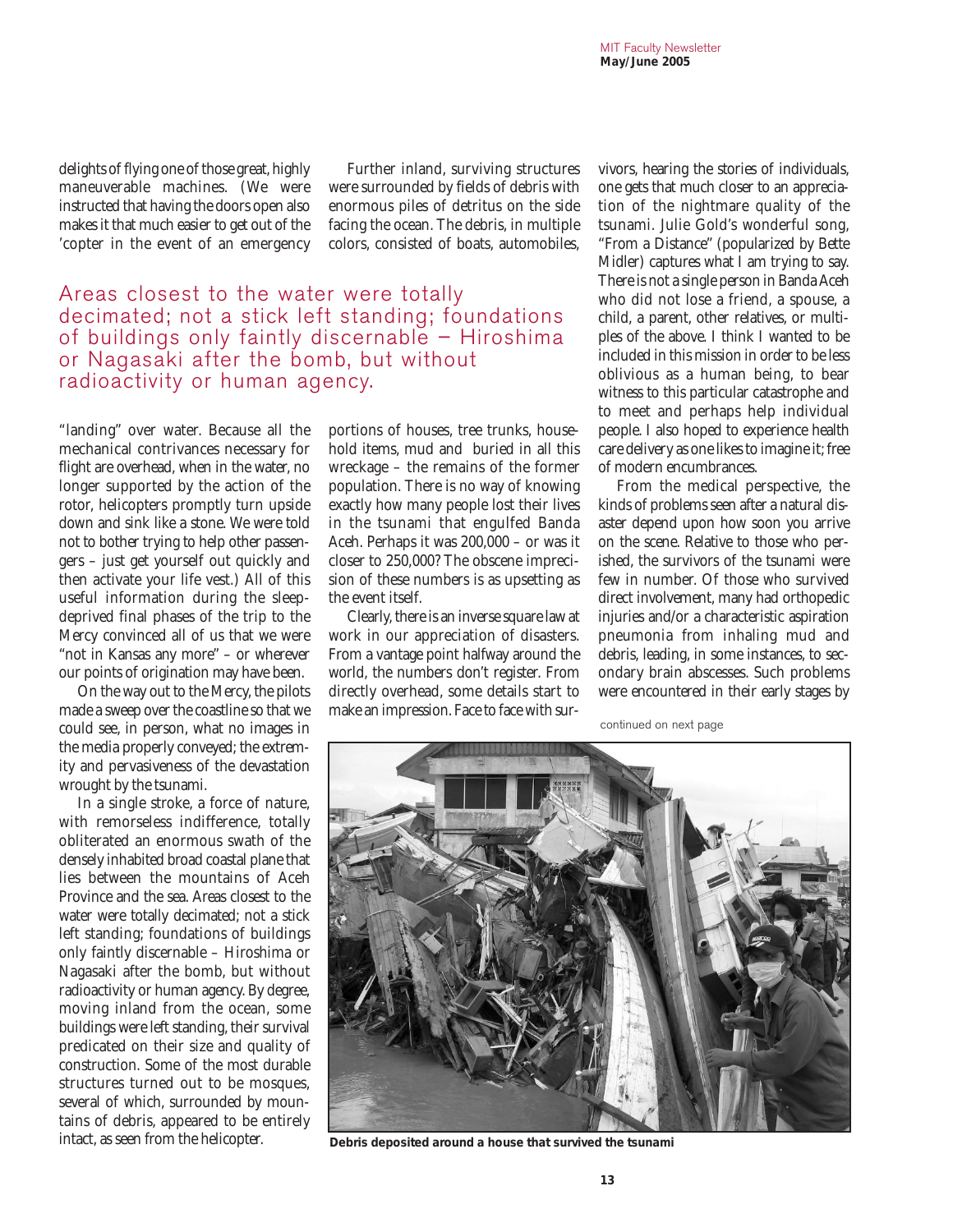delights of flying one of those great, highly maneuverable machines. (We were instructed that having the doors open also makes it that much easier to get out of the 'copter in the event of an emergency

Further inland, surviving structures were surrounded by fields of debris with enormous piles of detritus on the side facing the ocean. The debris, in multiple colors, consisted of boats, automobiles,

#### Areas closest to the water were totally decimated; not a stick left standing; foundations of buildings only faintly discernable – Hiroshima or Nagasaki after the bomb, but without radioactivity or human agency.

"landing" over water. Because all the mechanical contrivances necessary for flight are overhead, when in the water, no longer supported by the action of the rotor, helicopters promptly turn upside down and sink like a stone. We were told not to bother trying to help other passengers – just get yourself out quickly and then activate your life vest.) All of this useful information during the sleepdeprived final phases of the trip to the Mercy convinced all of us that we were "not in Kansas any more" – or wherever our points of origination may have been.

On the way out to the Mercy, the pilots made a sweep over the coastline so that we could see, in person, what no images in the media properly conveyed; the extremity and pervasiveness of the devastation wrought by the tsunami.

In a single stroke, a force of nature, with remorseless indifference, totally obliterated an enormous swath of the densely inhabited broad coastal plane that lies between the mountains of Aceh Province and the sea. Areas closest to the water were totally decimated; not a stick left standing; foundations of buildings only faintly discernable – Hiroshima or Nagasaki after the bomb, but without radioactivity or human agency. By degree, moving inland from the ocean, some buildings were left standing, their survival predicated on their size and quality of construction. Some of the most durable structures turned out to be mosques, several of which, surrounded by mountains of debris, appeared to be entirely intact, as seen from the helicopter.

portions of houses, tree trunks, household items, mud and buried in all this wreckage – the remains of the former population. There is no way of knowing exactly how many people lost their lives in the tsunami that engulfed Banda Aceh. Perhaps it was 200,000 – or was it closer to 250,000? The obscene imprecision of these numbers is as upsetting as the event itself.

Clearly, there is an inverse square law at work in our appreciation of disasters. From a vantage point halfway around the world, the numbers don't register. From directly overhead, some details start to make an impression. Face to face with survivors, hearing the stories of individuals, one gets that much closer to an appreciation of the nightmare quality of the tsunami. Julie Gold's wonderful song, "From a Distance" (popularized by Bette Midler) captures what I am trying to say. There is not a single person in Banda Aceh who did not lose a friend, a spouse, a child, a parent, other relatives, or multiples of the above. I think I wanted to be included in this mission in order to be less oblivious as a human being, to bear witness to this particular catastrophe and to meet and perhaps help individual people. I also hoped to experience health care delivery as one likes to imagine it; free of modern encumbrances.

From the medical perspective, the kinds of problems seen after a natural disaster depend upon how soon you arrive on the scene. Relative to those who perished, the survivors of the tsunami were few in number. Of those who survived direct involvement, many had orthopedic injuries and/or a characteristic aspiration pneumonia from inhaling mud and debris, leading, in some instances, to secondary brain abscesses. Such problems were encountered in their early stages by

continued on next page



**Debris deposited around a house that survived the tsunami**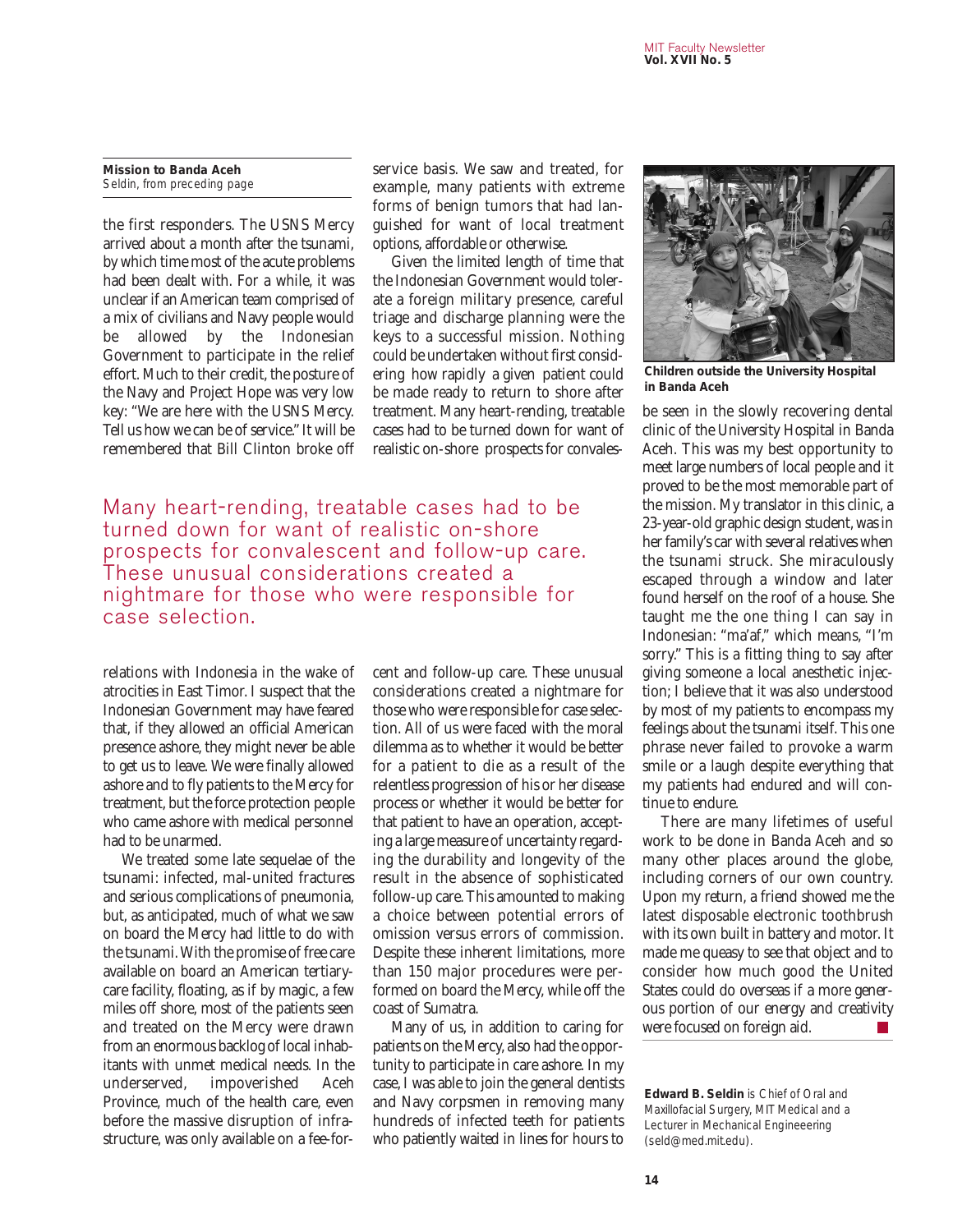**Mission to Banda Aceh** Seldin, from preceding page

the first responders. The USNS Mercy arrived about a month after the tsunami, by which time most of the acute problems had been dealt with. For a while, it was unclear if an American team comprised of a mix of civilians and Navy people would be allowed by the Indonesian Government to participate in the relief effort. Much to their credit, the posture of the Navy and Project Hope was very low key: "We are here with the USNS Mercy. Tell us how we can be of service." It will be remembered that Bill Clinton broke off service basis. We saw and treated, for example, many patients with extreme forms of benign tumors that had languished for want of local treatment options, affordable or otherwise.

Given the limited length of time that the Indonesian Government would tolerate a foreign military presence, careful triage and discharge planning were the keys to a successful mission. Nothing could be undertaken without first considering how rapidly a given patient could be made ready to return to shore after treatment. Many heart-rending, treatable cases had to be turned down for want of realistic on-shore prospects for convales-

Many heart-rending, treatable cases had to be turned down for want of realistic on-shore prospects for convalescent and follow-up care. These unusual considerations created a nightmare for those who were responsible for case selection.

relations with Indonesia in the wake of atrocities in East Timor. I suspect that the Indonesian Government may have feared that, if they allowed an official American presence ashore, they might never be able to get us to leave. We were finally allowed ashore and to fly patients to the Mercy for treatment, but the force protection people who came ashore with medical personnel had to be unarmed.

We treated some late sequelae of the tsunami: infected, mal-united fractures and serious complications of pneumonia, but, as anticipated, much of what we saw on board the Mercy had little to do with the tsunami. With the promise of free care available on board an American tertiarycare facility, floating, as if by magic, a few miles off shore, most of the patients seen and treated on the Mercy were drawn from an enormous backlog of local inhabitants with unmet medical needs. In the underserved, impoverished Aceh Province, much of the health care, even before the massive disruption of infrastructure, was only available on a fee-for-

cent and follow-up care. These unusual considerations created a nightmare for those who were responsible for case selection. All of us were faced with the moral dilemma as to whether it would be better for a patient to die as a result of the relentless progression of his or her disease process or whether it would be better for that patient to have an operation, accepting a large measure of uncertainty regarding the durability and longevity of the result in the absence of sophisticated follow-up care. This amounted to making a choice between potential errors of omission versus errors of commission. Despite these inherent limitations, more than 150 major procedures were performed on board the Mercy, while off the coast of Sumatra.

Many of us, in addition to caring for patients on the Mercy, also had the opportunity to participate in care ashore. In my case, I was able to join the general dentists and Navy corpsmen in removing many hundreds of infected teeth for patients who patiently waited in lines for hours to



**Children outside the University Hospital in Banda Aceh**

be seen in the slowly recovering dental clinic of the University Hospital in Banda Aceh. This was my best opportunity to meet large numbers of local people and it proved to be the most memorable part of the mission. My translator in this clinic, a 23-year-old graphic design student, was in her family's car with several relatives when the tsunami struck. She miraculously escaped through a window and later found herself on the roof of a house. She taught me the one thing I can say in Indonesian: "ma'af," which means, "I'm sorry." This is a fitting thing to say after giving someone a local anesthetic injection; I believe that it was also understood by most of my patients to encompass my feelings about the tsunami itself. This one phrase never failed to provoke a warm smile or a laugh despite everything that my patients had endured and will continue to endure.

There are many lifetimes of useful work to be done in Banda Aceh and so many other places around the globe, including corners of our own country. Upon my return, a friend showed me the latest disposable electronic toothbrush with its own built in battery and motor. It made me queasy to see that object and to consider how much good the United States could do overseas if a more generous portion of our energy and creativity were focused on foreign aid.  $\mathbb{R}^n$ 

**Edward B. Seldin** is Chief of Oral and Maxillofacial Surgery, MIT Medical and a Lecturer in Mechanical Engineeering *(seld@med.mit.edu).*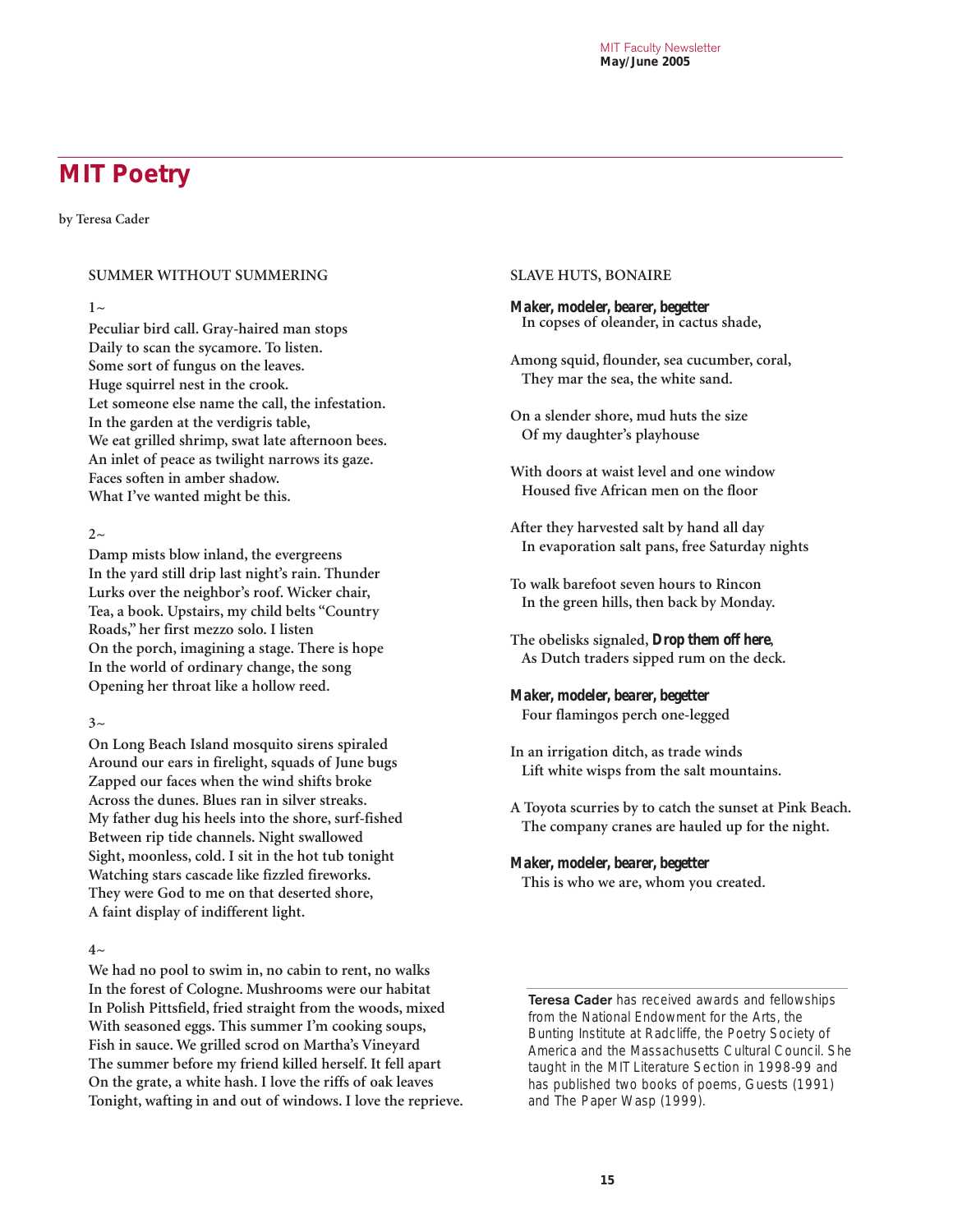# **MIT Poetry**

**by Teresa Cader**

#### **SUMMER WITHOUT SUMMERING**

#### **1~**

**Peculiar bird call. Gray-haired man stops Daily to scan the sycamore. To listen. Some sort of fungus on the leaves. Huge squirrel nest in the crook. Let someone else name the call, the infestation. In the garden at the verdigris table, We eat grilled shrimp, swat late afternoon bees. An inlet of peace as twilight narrows its gaze. Faces soften in amber shadow. What I've wanted might be this.**

#### **2~**

**Damp mists blow inland, the evergreens In the yard still drip last night's rain. Thunder Lurks over the neighbor's roof. Wicker chair, Tea, a book. Upstairs, my child belts "Country Roads," her first mezzo solo. I listen On the porch, imagining a stage. There is hope In the world of ordinary change, the song Opening her throat like a hollow reed.**

#### **3~**

**On Long Beach Island mosquito sirens spiraled Around our ears in firelight, squads of June bugs Zapped our faces when the wind shifts broke Across the dunes. Blues ran in silver streaks. My father dug his heels into the shore, surf-fished Between rip tide channels. Night swallowed Sight, moonless, cold. I sit in the hot tub tonight Watching stars cascade like fizzled fireworks. They were God to me on that deserted shore, A faint display of indifferent light.**

#### **4~**

**We had no pool to swim in, no cabin to rent, no walks In the forest of Cologne. Mushrooms were our habitat In Polish Pittsfield, fried straight from the woods, mixed With seasoned eggs. This summer I'm cooking soups, Fish in sauce. We grilled scrod on Martha's Vineyard The summer before my friend killed herself. It fell apart On the grate, a white hash. I love the riffs of oak leaves Tonight, wafting in and out of windows. I love the reprieve.**

#### **SLAVE HUTS, BONAIRE**

*Maker, modeler, bearer, begetter* **In copses of oleander, in cactus shade,**

**Among squid, flounder, sea cucumber, coral, They mar the sea, the white sand.**

**On a slender shore, mud huts the size Of my daughter's playhouse**

**With doors at waist level and one window Housed five African men on the floor**

**After they harvested salt by hand all day In evaporation salt pans, free Saturday nights**

**To walk barefoot seven hours to Rincon In the green hills, then back by Monday.**

**The obelisks signaled,** *Drop them off here***, As Dutch traders sipped rum on the deck.**

*Maker, modeler, bearer, begetter* **Four flamingos perch one-legged**

**In an irrigation ditch, as trade winds Lift white wisps from the salt mountains.**

**A Toyota scurries by to catch the sunset at Pink Beach. The company cranes are hauled up for the night.**

#### *Maker, modeler, bearer, begetter*

**This is who we are, whom you created.**

**Teresa Cader** has received awards and fellowships from the National Endowment for the Arts, the Bunting Institute at Radcliffe, the Poetry Society of America and the Massachusetts Cultural Council. She taught in the MIT Literature Section in 1998-99 and has published two books of poems, *Guests* (1991) and *The Paper Wasp* (1999).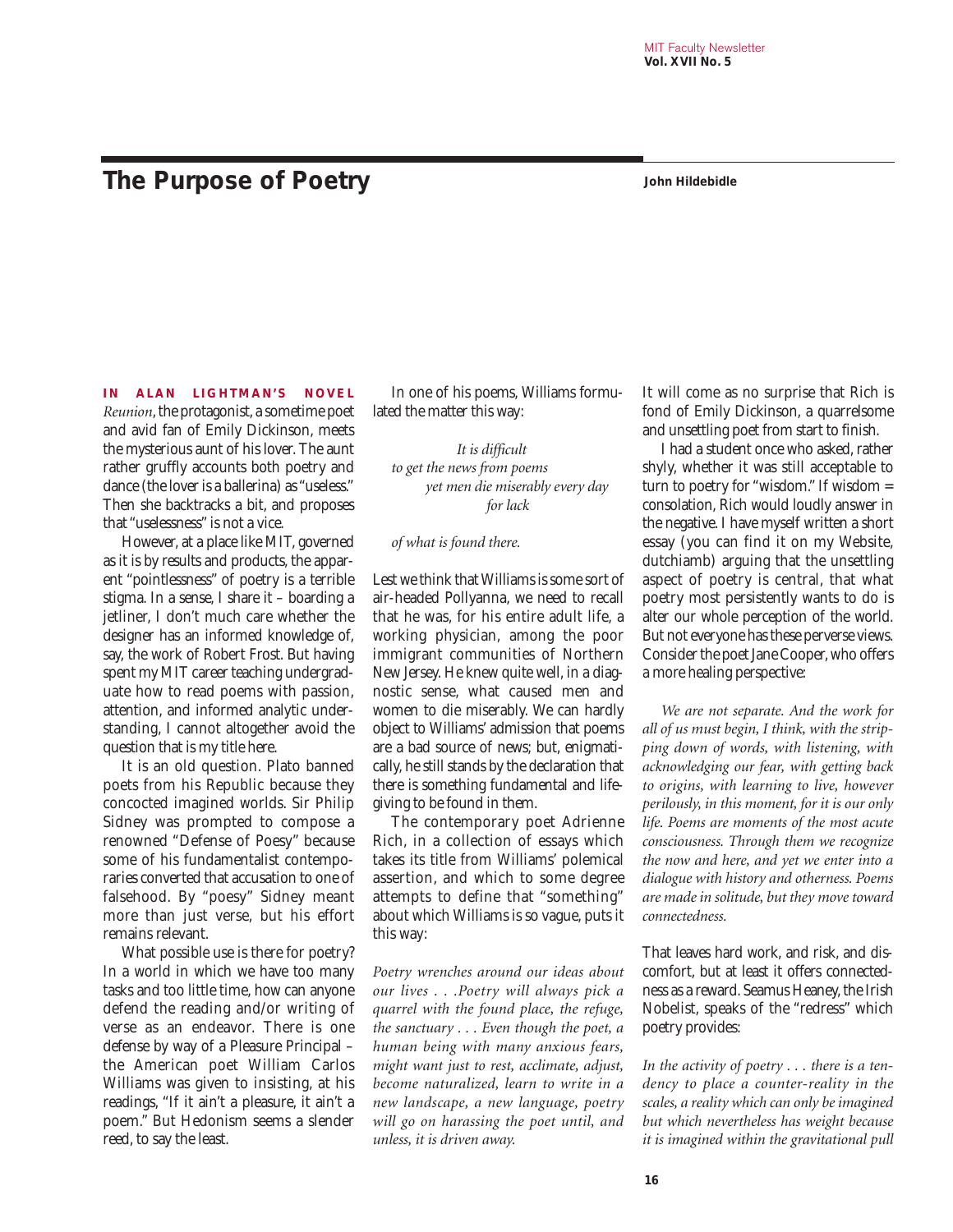# **The Purpose of Poetry John Hildebidle**

**IN ALAN LIGHTMAN'S NOVEL** *Reunion*, the protagonist, a sometime poet and avid fan of Emily Dickinson, meets the mysterious aunt of his lover. The aunt rather gruffly accounts both poetry and dance (the lover is a ballerina) as "useless." Then she backtracks a bit, and proposes that "uselessness" is not a vice.

However, at a place like MIT, governed as it is by results and products, the apparent "pointlessness" of poetry is a terrible stigma. In a sense, I share it – boarding a jetliner, I don't much care whether the designer has an informed knowledge of, say, the work of Robert Frost. But having spent my MIT career teaching undergraduate how to read poems with passion, attention, and informed analytic understanding, I cannot altogether avoid the question that is my title here.

It is an old question. Plato banned poets from his Republic because they concocted imagined worlds. Sir Philip Sidney was prompted to compose a renowned "Defense of Poesy" because some of his fundamentalist contemporaries converted that accusation to one of falsehood. By "poesy" Sidney meant more than just verse, but his effort remains relevant.

What possible use is there for poetry? In a world in which we have too many tasks and too little time, how can anyone defend the reading and/or writing of verse as an endeavor. There is one defense by way of a Pleasure Principal – the American poet William Carlos Williams was given to insisting, at his readings, "If it ain't a pleasure, it ain't a poem." But Hedonism seems a slender reed, to say the least.

In one of his poems, Williams formulated the matter this way:

*It is difficult to get the news from poems yet men die miserably every day for lack*

*of what is found there.*

Lest we think that Williams is some sort of air-headed Pollyanna, we need to recall that he was, for his entire adult life, a working physician, among the poor immigrant communities of Northern New Jersey. He knew quite well, in a diagnostic sense, what caused men and women to die miserably. We can hardly object to Williams' admission that poems are a bad source of news; but, enigmatically, he still stands by the declaration that there is something fundamental and lifegiving to be found in them.

The contemporary poet Adrienne Rich, in a collection of essays which takes its title from Williams' polemical assertion, and which to some degree attempts to define that "something" about which Williams is so vague, puts it this way:

*Poetry wrenches around our ideas about our lives . . .Poetry will always pick a quarrel with the found place, the refuge, the sanctuary . . . Even though the poet, a human being with many anxious fears, might want just to rest, acclimate, adjust, become naturalized, learn to write in a new landscape, a new language, poetry will go on harassing the poet until, and unless, it is driven away.*

It will come as no surprise that Rich is fond of Emily Dickinson, a quarrelsome and unsettling poet from start to finish.

I had a student once who asked, rather shyly, whether it was still acceptable to turn to poetry for "wisdom." If wisdom = consolation, Rich would loudly answer in the negative. I have myself written a short essay (you can find it on my Website, dutchiamb) arguing that the unsettling aspect of poetry is central, that what poetry most persistently wants to do is alter our whole perception of the world. But not everyone has these perverse views. Consider the poet Jane Cooper, who offers a more healing perspective:

*We are not separate. And the work for all of us must begin, I think, with the stripping down of words, with listening, with acknowledging our fear, with getting back to origins, with learning to live, however perilously, in this moment, for it is our only life. Poems are moments of the most acute consciousness. Through them we recognize the now and here, and yet we enter into a dialogue with history and otherness. Poems are made in solitude, but they move toward connectedness.*

That leaves hard work, and risk, and discomfort, but at least it offers connectedness as a reward. Seamus Heaney, the Irish Nobelist, speaks of the "redress" which poetry provides:

*In the activity of poetry . . . there is a tendency to place a counter-reality in the scales, a reality which can only be imagined but which nevertheless has weight because it is imagined within the gravitational pull*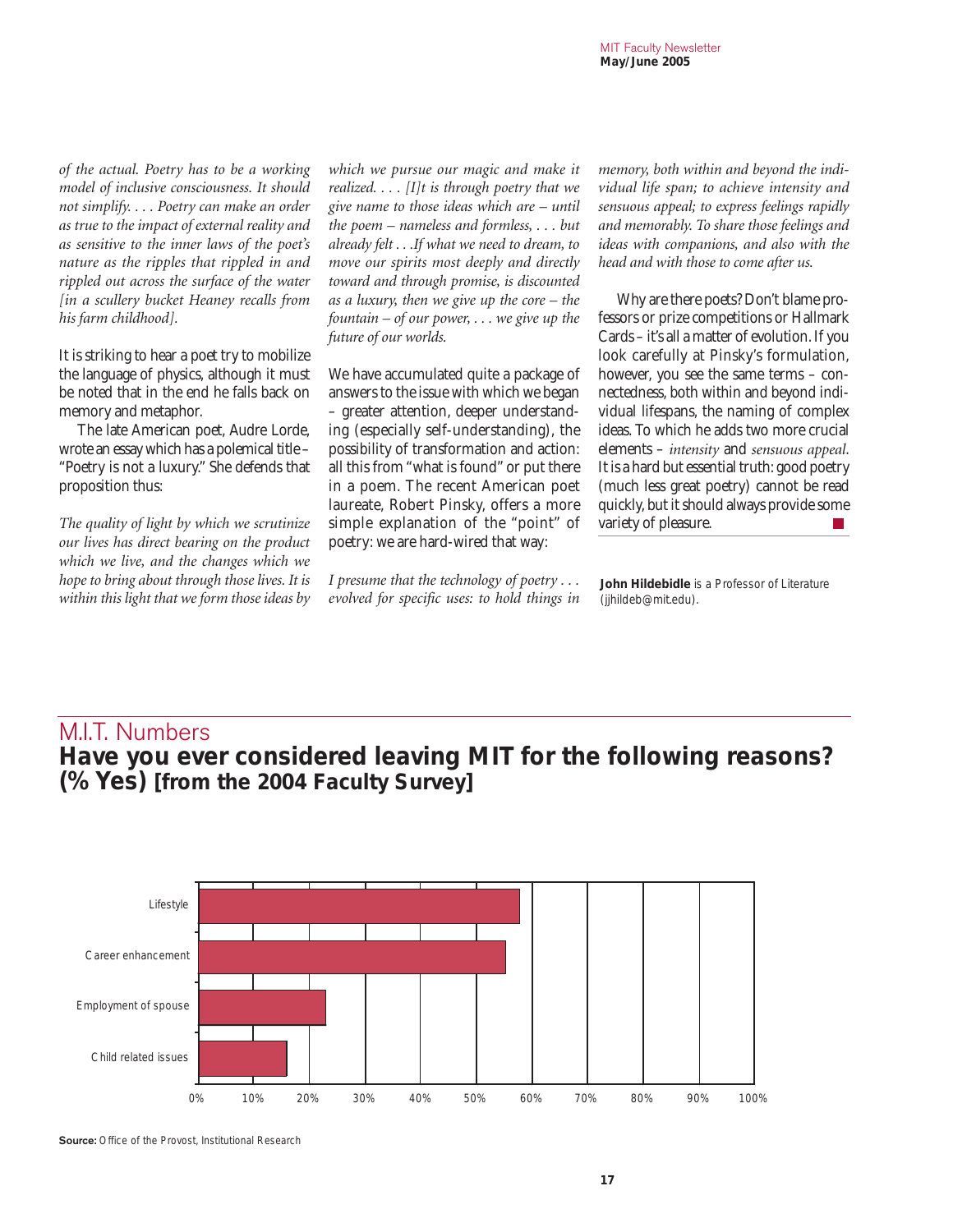*of the actual. Poetry has to be a working model of inclusive consciousness. It should not simplify. . . . Poetry can make an order as true to the impact of external reality and as sensitive to the inner laws of the poet's nature as the ripples that rippled in and rippled out across the surface of the water [in a scullery bucket Heaney recalls from his farm childhood].*

It is striking to hear a poet try to mobilize the language of physics, although it must be noted that in the end he falls back on memory and metaphor.

The late American poet, Audre Lorde, wrote an essay which has a polemical title – "Poetry is not a luxury." She defends that proposition thus:

*The quality of light by which we scrutinize our lives has direct bearing on the product which we live, and the changes which we hope to bring about through those lives. It is within this light that we form those ideas by*

*which we pursue our magic and make it realized. . . . [I]t is through poetry that we give name to those ideas which are – until the poem – nameless and formless, . . . but already felt . . .If what we need to dream, to move our spirits most deeply and directly toward and through promise, is discounted as a luxury, then we give up the core – the fountain – of our power, . . . we give up the future of our worlds.*

We have accumulated quite a package of answers to the issue with which we began – greater attention, deeper understanding (especially self-understanding), the possibility of transformation and action: all this from "what is found" or put there in a poem. The recent American poet laureate, Robert Pinsky, offers a more simple explanation of the "point" of poetry: we are hard-wired that way:

*I presume that the technology of poetry . . . evolved for specific uses: to hold things in*

*memory, both within and beyond the individual life span; to achieve intensity and sensuous appeal; to express feelings rapidly and memorably. To share those feelings and ideas with companions, and also with the head and with those to come after us.*

Why are there poets? Don't blame professors or prize competitions or Hallmark Cards – it's all a matter of evolution. If you look carefully at Pinsky's formulation, however, you see the same terms – connectedness, both within and beyond individual lifespans, the naming of complex ideas. To which he adds two more crucial elements – *intensity* and *sensuous appeal*. It is a hard but essential truth: good poetry (much less great poetry) cannot be read quickly, but it should always provide some variety of pleasure. ш

**John Hildebidle** is a Professor of Literature *(jjhildeb@mit.edu).*

# M.I.T. Numbers **Have you ever considered leaving MIT for the following reasons? (% Yes) [from the 2004 Faculty Survey]**



**Source:** Office of the Provost, Institutional Research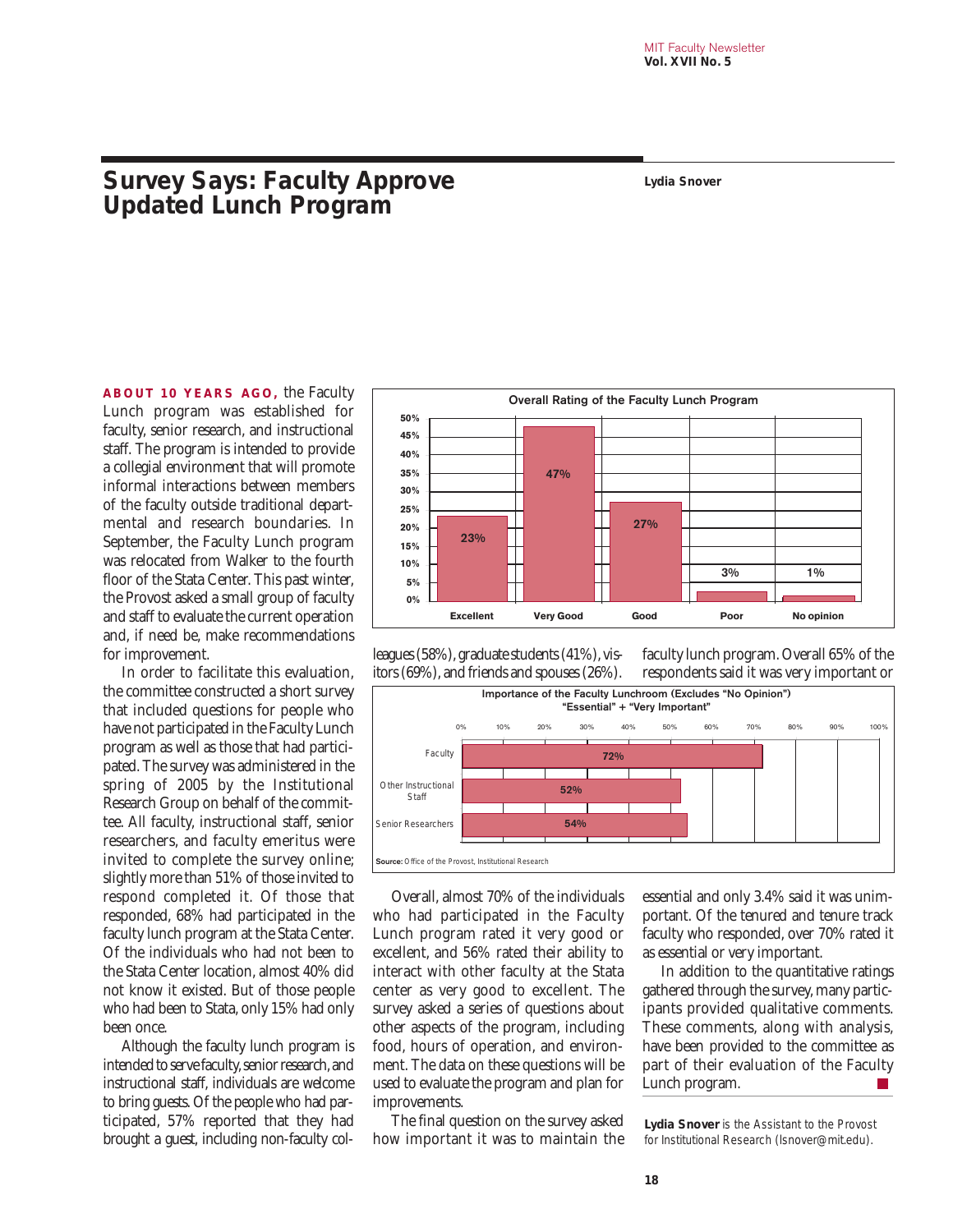## **Survey Says: Faculty Approve** Lydia Snover **Updated Lunch Program**

**ABOUT 10 YEARS AGO,** the Faculty Lunch program was established for faculty, senior research, and instructional staff. The program is intended to provide a collegial environment that will promote informal interactions between members of the faculty outside traditional departmental and research boundaries. In September, the Faculty Lunch program was relocated from Walker to the fourth floor of the Stata Center. This past winter, the Provost asked a small group of faculty and staff to evaluate the current operation and, if need be, make recommendations for improvement.

In order to facilitate this evaluation, the committee constructed a short survey that included questions for people who have not participated in the Faculty Lunch program as well as those that had participated. The survey was administered in the spring of 2005 by the Institutional Research Group on behalf of the committee. All faculty, instructional staff, senior researchers, and faculty emeritus were invited to complete the survey online; slightly more than 51% of those invited to respond completed it. Of those that responded, 68% had participated in the faculty lunch program at the Stata Center. Of the individuals who had not been to the Stata Center location, almost 40% did not know it existed. But of those people who had been to Stata, only 15% had only been once.

Although the faculty lunch program is intended to serve faculty, senior research, and instructional staff, individuals are welcome to bring guests. Of the people who had participated, 57% reported that they had brought a guest, including non-faculty col-





faculty lunch program. Overall 65% of the respondents said it was very important or



Overall, almost 70% of the individuals who had participated in the Faculty Lunch program rated it very good or excellent, and 56% rated their ability to interact with other faculty at the Stata center as very good to excellent. The survey asked a series of questions about other aspects of the program, including food, hours of operation, and environment. The data on these questions will be used to evaluate the program and plan for improvements.

The final question on the survey asked how important it was to maintain the essential and only 3.4% said it was unimportant. Of the tenured and tenure track faculty who responded, over 70% rated it as essential or very important.

In addition to the quantitative ratings gathered through the survey, many participants provided qualitative comments. These comments, along with analysis, have been provided to the committee as part of their evaluation of the Faculty Lunch program.  $\mathbb{R}^3$ 

**Lydia Snover** is the Assistant to the Provost for Institutional Research *(lsnover@mit.edu).*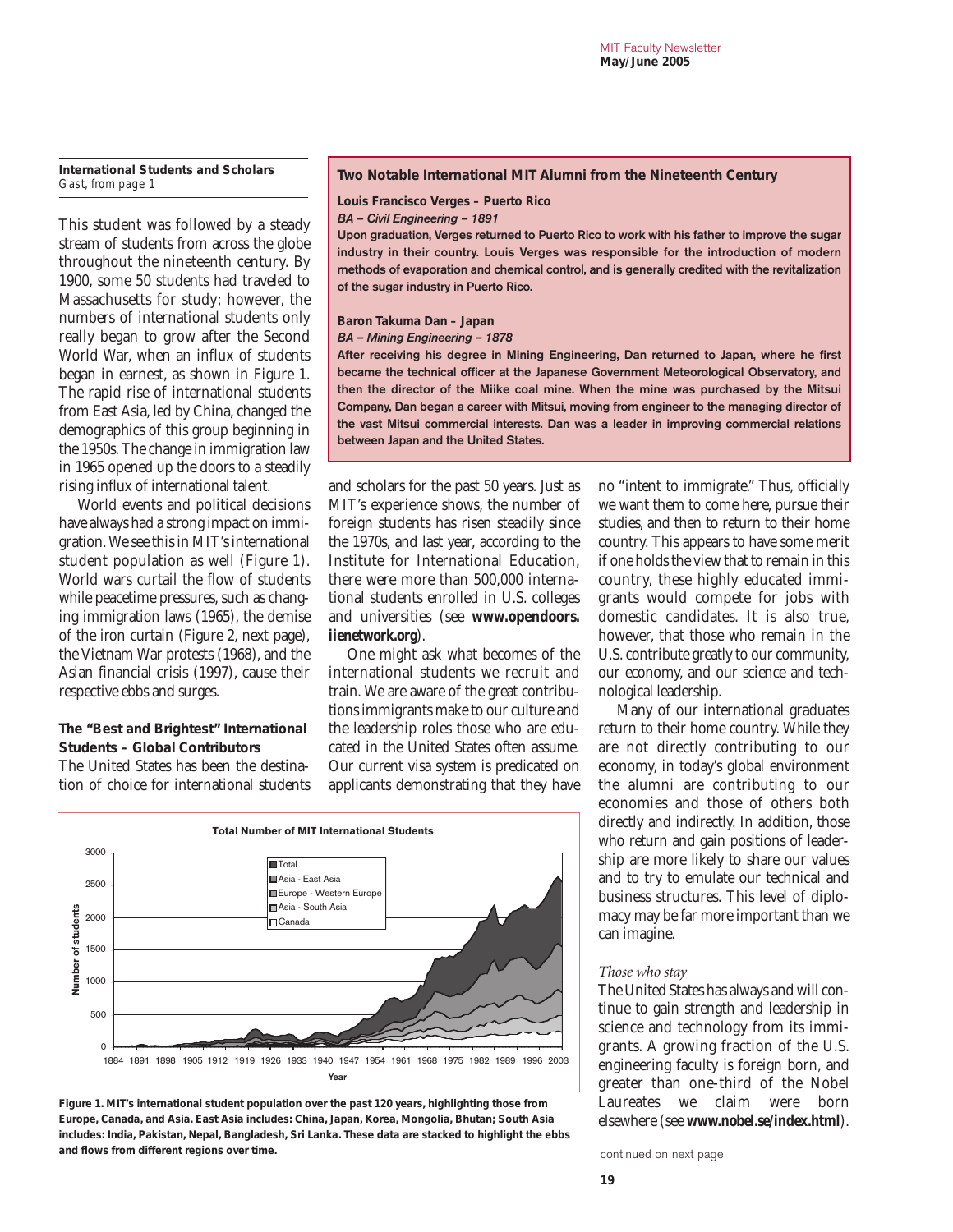**International Students and Scholars** Gast, from page 1

This student was followed by a steady stream of students from across the globe throughout the nineteenth century. By 1900, some 50 students had traveled to Massachusetts for study; however, the numbers of international students only really began to grow after the Second World War, when an influx of students began in earnest, as shown in Figure 1. The rapid rise of international students from East Asia, led by China, changed the demographics of this group beginning in the 1950s. The change in immigration law in 1965 opened up the doors to a steadily rising influx of international talent.

World events and political decisions have always had a strong impact on immigration. We see this in MIT's international student population as well (Figure 1). World wars curtail the flow of students while peacetime pressures, such as changing immigration laws (1965), the demise of the iron curtain (Figure 2, next page), the Vietnam War protests (1968), and the Asian financial crisis (1997), cause their respective ebbs and surges.

#### **The "Best and Brightest" International Students – Global Contributors**

The United States has been the destination of choice for international students

#### **Two Notable International MIT Alumni from the Nineteenth Century**

**Louis Francisco Verges – Puerto Rico**

*BA – Civil Engineering – 1891*

**Upon graduation, Verges returned to Puerto Rico to work with his father to improve the sugar industry in their country. Louis Verges was responsible for the introduction of modern methods of evaporation and chemical control, and is generally credited with the revitalization of the sugar industry in Puerto Rico.**

#### **Baron Takuma Dan – Japan**

*BA – Mining Engineering – 1878*

**After receiving his degree in Mining Engineering, Dan returned to Japan, where he first became the technical officer at the Japanese Government Meteorological Observatory, and then the director of the Miike coal mine. When the mine was purchased by the Mitsui Company, Dan began a career with Mitsui, moving from engineer to the managing director of the vast Mitsui commercial interests. Dan was a leader in improving commercial relations between Japan and the United States.**

and scholars for the past 50 years. Just as MIT's experience shows, the number of foreign students has risen steadily since the 1970s, and last year, according to the Institute for International Education, there were more than 500,000 international students enrolled in U.S. colleges and universities (see *www.opendoors. iienetwork.org*).

One might ask what becomes of the international students we recruit and train. We are aware of the great contributions immigrants make to our culture and the leadership roles those who are educated in the United States often assume. Our current visa system is predicated on applicants demonstrating that they have





no "intent to immigrate." Thus, officially we want them to come here, pursue their studies, and then to return to their home country. This appears to have some merit if one holds the view that to remain in this country, these highly educated immigrants would compete for jobs with domestic candidates. It is also true, however, that those who remain in the U.S. contribute greatly to our community, our economy, and our science and technological leadership.

Many of our international graduates return to their home country. While they are not directly contributing to our economy, in today's global environment the alumni are contributing to our economies and those of others both directly and indirectly. In addition, those who return and gain positions of leadership are more likely to share our values and to try to emulate our technical and business structures. This level of diplomacy may be far more important than we can imagine.

#### *Those who stay*

The United States has always and will continue to gain strength and leadership in science and technology from its immigrants. A growing fraction of the U.S. engineering faculty is foreign born, and greater than one-third of the Nobel Laureates we claim were born elsewhere (see *www.nobel.se/index.html*).

continued on next page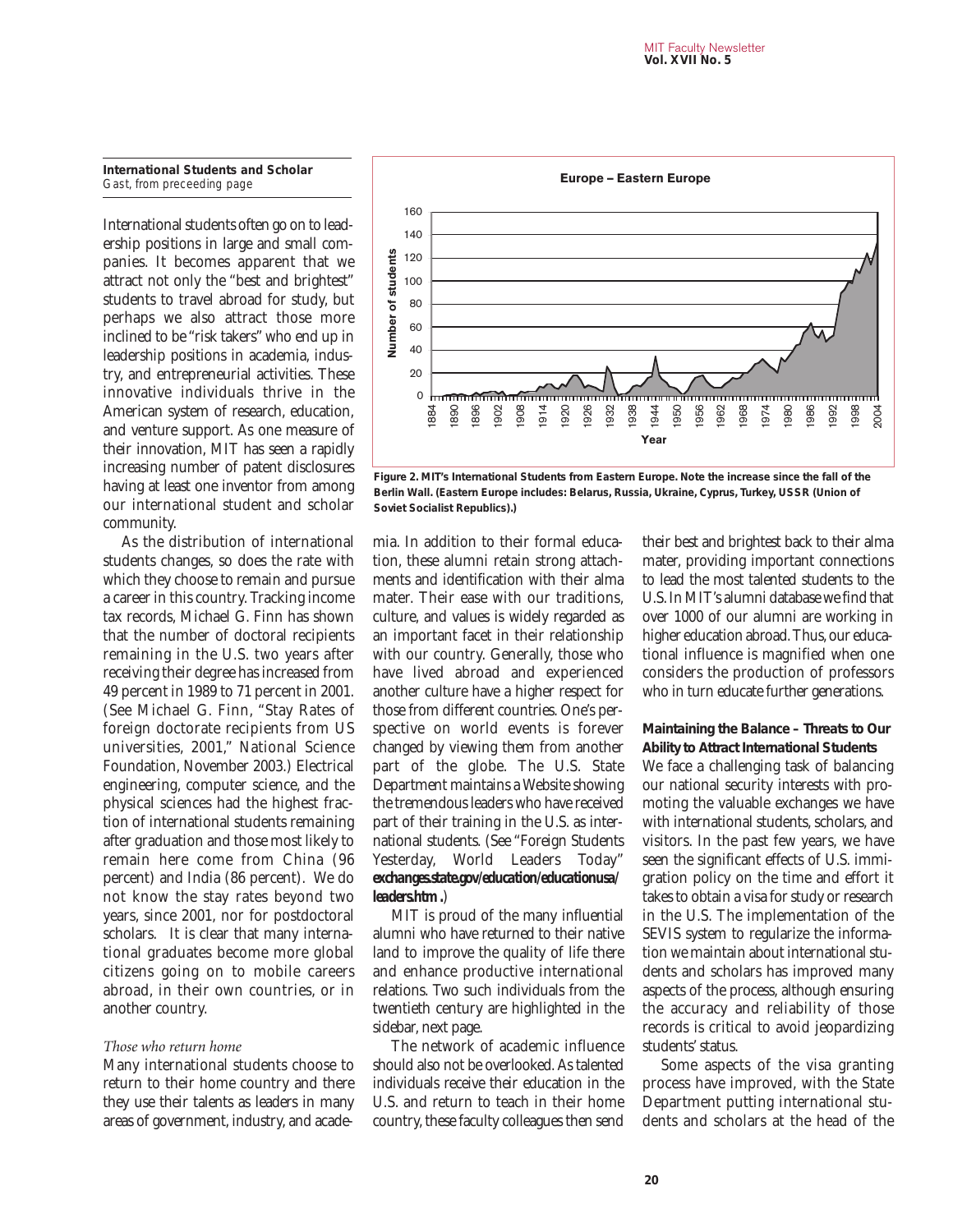# **International Students and Scholar**

International students often go on to leadership positions in large and small companies. It becomes apparent that we attract not only the "best and brightest" students to travel abroad for study, but perhaps we also attract those more inclined to be "risk takers" who end up in leadership positions in academia, industry, and entrepreneurial activities. These innovative individuals thrive in the American system of research, education, and venture support. As one measure of their innovation, MIT has seen a rapidly increasing number of patent disclosures having at least one inventor from among our international student and scholar community.

As the distribution of international students changes, so does the rate with which they choose to remain and pursue a career in this country. Tracking income tax records, Michael G. Finn has shown that the number of doctoral recipients remaining in the U.S. two years after receiving their degree has increased from 49 percent in 1989 to 71 percent in 2001. (See Michael G. Finn, "Stay Rates of foreign doctorate recipients from US universities, 2001," National Science Foundation, November 2003.) Electrical engineering, computer science, and the physical sciences had the highest fraction of international students remaining after graduation and those most likely to remain here come from China (96 percent) and India (86 percent). We do not know the stay rates beyond two years, since 2001, nor for postdoctoral scholars. It is clear that many international graduates become more global citizens going on to mobile careers abroad, in their own countries, or in another country.

#### *Those who return home*

Many international students choose to return to their home country and there they use their talents as leaders in many areas of government, industry, and acade-



**Figure 2. MIT's International Students from Eastern Europe. Note the increase since the fall of the Berlin Wall. (Eastern Europe includes: Belarus, Russia, Ukraine, Cyprus, Turkey, USSR (Union of Soviet Socialist Republics).)**

mia. In addition to their formal education, these alumni retain strong attachments and identification with their alma mater. Their ease with our traditions, culture, and values is widely regarded as an important facet in their relationship with our country. Generally, those who have lived abroad and experienced another culture have a higher respect for those from different countries. One's perspective on world events is forever changed by viewing them from another part of the globe. The U.S. State Department maintains a Website showing the tremendous leaders who have received part of their training in the U.S. as international students. (See "Foreign Students Yesterday, World Leaders Today" *exchanges.state.gov/education/educationusa/ leaders.htm .*)

MIT is proud of the many influential alumni who have returned to their native land to improve the quality of life there and enhance productive international relations. Two such individuals from the twentieth century are highlighted in the sidebar, next page.

The network of academic influence should also not be overlooked. As talented individuals receive their education in the U.S. and return to teach in their home country, these faculty colleagues then send

their best and brightest back to their alma mater, providing important connections to lead the most talented students to the U.S. In MIT's alumni database we find that over 1000 of our alumni are working in higher education abroad. Thus, our educational influence is magnified when one considers the production of professors who in turn educate further generations.

#### **Maintaining the Balance – Threats to Our Ability to Attract International Students**

We face a challenging task of balancing our national security interests with promoting the valuable exchanges we have with international students, scholars, and visitors. In the past few years, we have seen the significant effects of U.S. immigration policy on the time and effort it takes to obtain a visa for study or research in the U.S. The implementation of the SEVIS system to regularize the information we maintain about international students and scholars has improved many aspects of the process, although ensuring the accuracy and reliability of those records is critical to avoid jeopardizing students' status.

Some aspects of the visa granting process have improved, with the State Department putting international students and scholars at the head of the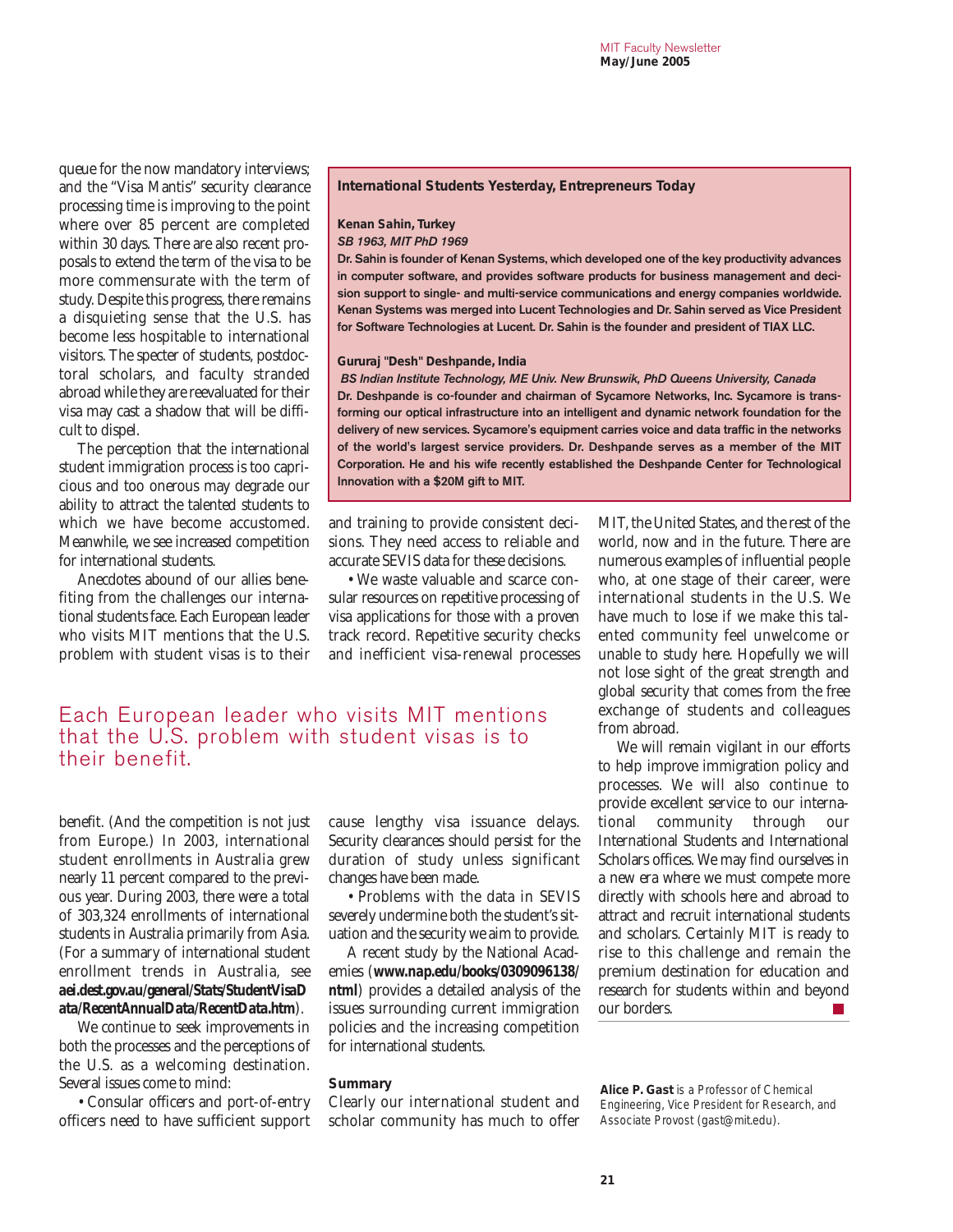queue for the now mandatory interviews; and the "Visa Mantis" security clearance processing time is improving to the point where over 85 percent are completed within 30 days. There are also recent proposals to extend the term of the visa to be more commensurate with the term of study. Despite this progress, there remains a disquieting sense that the U.S. has become less hospitable to international visitors. The specter of students, postdoctoral scholars, and faculty stranded abroad while they are reevaluated for their visa may cast a shadow that will be difficult to dispel.

The perception that the international student immigration process is too capricious and too onerous may degrade our ability to attract the talented students to which we have become accustomed. Meanwhile, we see increased competition for international students.

Anecdotes abound of our allies benefiting from the challenges our international students face. Each European leader who visits MIT mentions that the U.S. problem with student visas is to their

#### **International Students Yesterday, Entrepreneurs Today**

**Kenan Sahin, Turkey**

*SB 1963, MIT PhD 1969*

**Dr. Sahin is founder of Kenan Systems, which developed one of the key productivity advances in computer software, and provides software products for business management and decision support to single- and multi-service communications and energy companies worldwide. Kenan Systems was merged into Lucent Technologies and Dr. Sahin served as Vice President for Software Technologies at Lucent. Dr. Sahin is the founder and president of TIAX LLC.**

**Gururaj "Desh" Deshpande, India**

*BS Indian Institute Technology, ME Univ. New Brunswik, PhD Queens University, Canada*  **Dr. Deshpande is co-founder and chairman of Sycamore Networks, Inc. Sycamore is transforming our optical infrastructure into an intelligent and dynamic network foundation for the delivery of new services. Sycamore's equipment carries voice and data traffic in the networks of the world's largest service providers. Dr. Deshpande serves as a member of the MIT Corporation. He and his wife recently established the Deshpande Center for Technological Innovation with a \$20M gift to MIT.**

and training to provide consistent decisions. They need access to reliable and accurate SEVIS data for these decisions.

• We waste valuable and scarce consular resources on repetitive processing of visa applications for those with a proven track record. Repetitive security checks and inefficient visa-renewal processes

Each European leader who visits MIT mentions that the U.S. problem with student visas is to their benefit.

benefit. (And the competition is not just from Europe.) In 2003, international student enrollments in Australia grew nearly 11 percent compared to the previous year. During 2003, there were a total of 303,324 enrollments of international students in Australia primarily from Asia. (For a summary of international student enrollment trends in Australia, see *aei.dest.gov.au/general/Stats/StudentVisaD ata/RecentAnnualData/RecentData.htm*).

We continue to seek improvements in both the processes and the perceptions of the U.S. as a welcoming destination. Several issues come to mind:

• Consular officers and port-of-entry officers need to have sufficient support cause lengthy visa issuance delays. Security clearances should persist for the duration of study unless significant changes have been made.

• Problems with the data in SEVIS severely undermine both the student's situation and the security we aim to provide.

A recent study by the National Academies (*www.nap.edu/books/0309096138/ ntml*) provides a detailed analysis of the issues surrounding current immigration policies and the increasing competition for international students.

#### **Summary**

Clearly our international student and scholar community has much to offer MIT, the United States, and the rest of the world, now and in the future. There are numerous examples of influential people who, at one stage of their career, were international students in the U.S. We have much to lose if we make this talented community feel unwelcome or unable to study here. Hopefully we will not lose sight of the great strength and global security that comes from the free exchange of students and colleagues from abroad.

We will remain vigilant in our efforts to help improve immigration policy and processes. We will also continue to provide excellent service to our international community through our International Students and International Scholars offices. We may find ourselves in a new era where we must compete more directly with schools here and abroad to attract and recruit international students and scholars. Certainly MIT is ready to rise to this challenge and remain the premium destination for education and research for students within and beyond our borders.  $\mathcal{L}_{\mathcal{A}}$ 

**Alice P. Gast** is a Professor of Chemical Engineering, Vice President for Research, and Associate Provost *(gast@mit.edu).*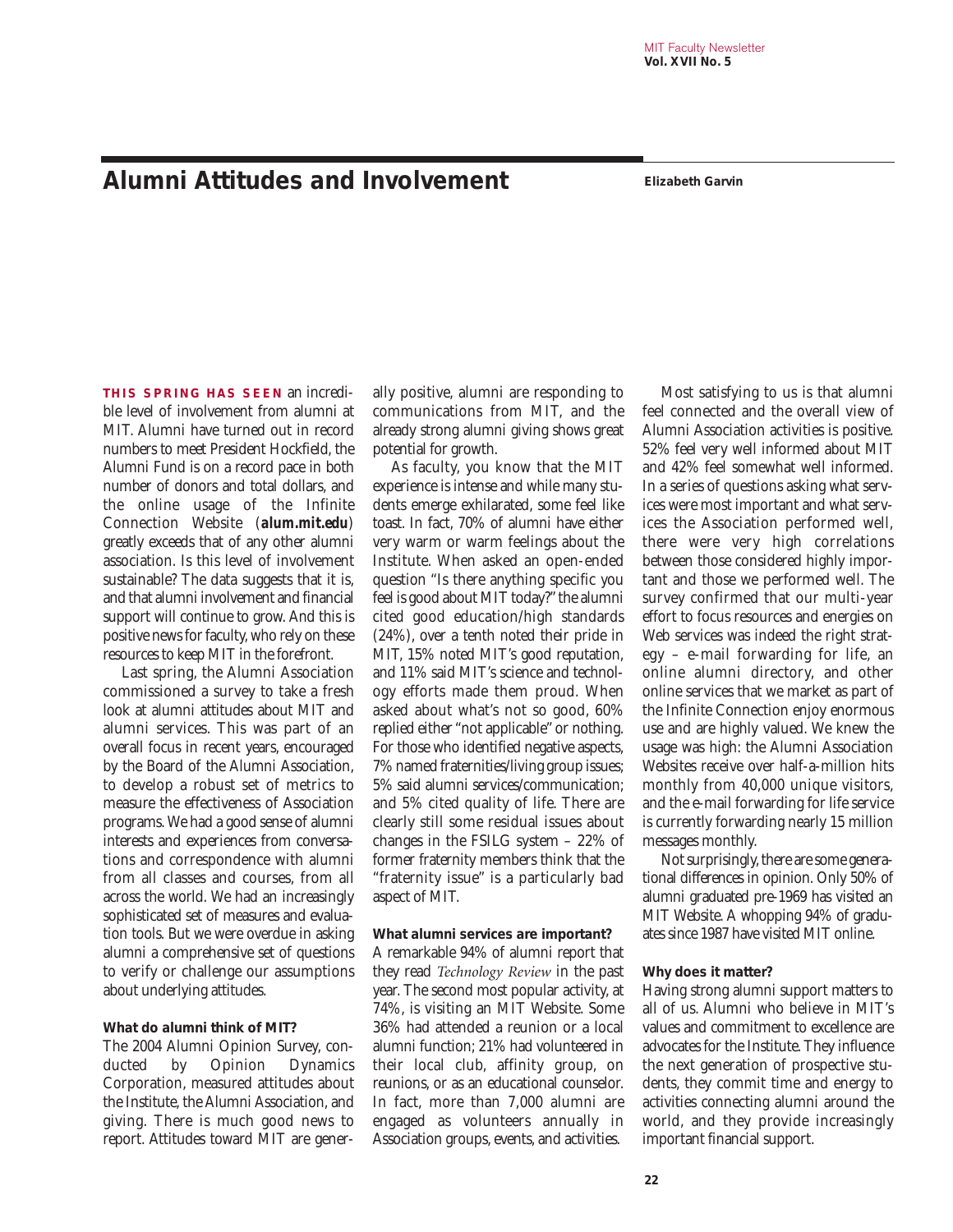**22**

# **Alumni Attitudes and Involvement Elizabeth Garvin**

**THIS SPRING HAS SEEN** an incredible level of involvement from alumni at MIT. Alumni have turned out in record numbers to meet President Hockfield, the Alumni Fund is on a record pace in both number of donors and total dollars, and the online usage of the Infinite Connection Website (*alum.mit.edu*) greatly exceeds that of any other alumni association. Is this level of involvement sustainable? The data suggests that it is, and that alumni involvement and financial support will continue to grow. And this is positive news for faculty, who rely on these resources to keep MIT in the forefront.

Last spring, the Alumni Association commissioned a survey to take a fresh look at alumni attitudes about MIT and alumni services. This was part of an overall focus in recent years, encouraged by the Board of the Alumni Association, to develop a robust set of metrics to measure the effectiveness of Association programs. We had a good sense of alumni interests and experiences from conversations and correspondence with alumni from all classes and courses, from all across the world. We had an increasingly sophisticated set of measures and evaluation tools. But we were overdue in asking alumni a comprehensive set of questions to verify or challenge our assumptions about underlying attitudes.

#### **What do alumni think of MIT?**

The 2004 Alumni Opinion Survey, conducted by Opinion Dynamics Corporation, measured attitudes about the Institute, the Alumni Association, and giving. There is much good news to report. Attitudes toward MIT are gener-

ally positive, alumni are responding to communications from MIT, and the already strong alumni giving shows great potential for growth.

As faculty, you know that the MIT experience is intense and while many students emerge exhilarated, some feel like toast. In fact, 70% of alumni have either very warm or warm feelings about the Institute. When asked an open-ended question "Is there anything specific you feel is good about MIT today?" the alumni cited good education/high standards (24%), over a tenth noted their pride in MIT, 15% noted MIT's good reputation, and 11% said MIT's science and technology efforts made them proud. When asked about what's not so good, 60% replied either "not applicable" or nothing. For those who identified negative aspects, 7% named fraternities/living group issues; 5% said alumni services/communication; and 5% cited quality of life. There are clearly still some residual issues about changes in the FSILG system – 22% of former fraternity members think that the "fraternity issue" is a particularly bad aspect of MIT.

#### **What alumni services are important?**

A remarkable 94% of alumni report that they read *Technology Review* in the past year. The second most popular activity, at 74%, is visiting an MIT Website. Some 36% had attended a reunion or a local alumni function; 21% had volunteered in their local club, affinity group, on reunions, or as an educational counselor. In fact, more than 7,000 alumni are engaged as volunteers annually in Association groups, events, and activities.

Most satisfying to us is that alumni feel connected and the overall view of Alumni Association activities is positive. 52% feel very well informed about MIT and 42% feel somewhat well informed. In a series of questions asking what services were most important and what services the Association performed well, there were very high correlations between those considered highly important and those we performed well. The survey confirmed that our multi-year effort to focus resources and energies on Web services was indeed the right strategy – e-mail forwarding for life, an online alumni directory, and other online services that we market as part of the Infinite Connection enjoy enormous use and are highly valued. We knew the usage was high: the Alumni Association Websites receive over half-a-million hits monthly from 40,000 unique visitors, and the e-mail forwarding for life service is currently forwarding nearly 15 million messages monthly.

Not surprisingly, there are some generational differences in opinion. Only 50% of alumni graduated pre-1969 has visited an MIT Website. A whopping 94% of graduates since 1987 have visited MIT online.

#### **Why does it matter?**

Having strong alumni support matters to all of us. Alumni who believe in MIT's values and commitment to excellence are advocates for the Institute. They influence the next generation of prospective students, they commit time and energy to activities connecting alumni around the world, and they provide increasingly important financial support.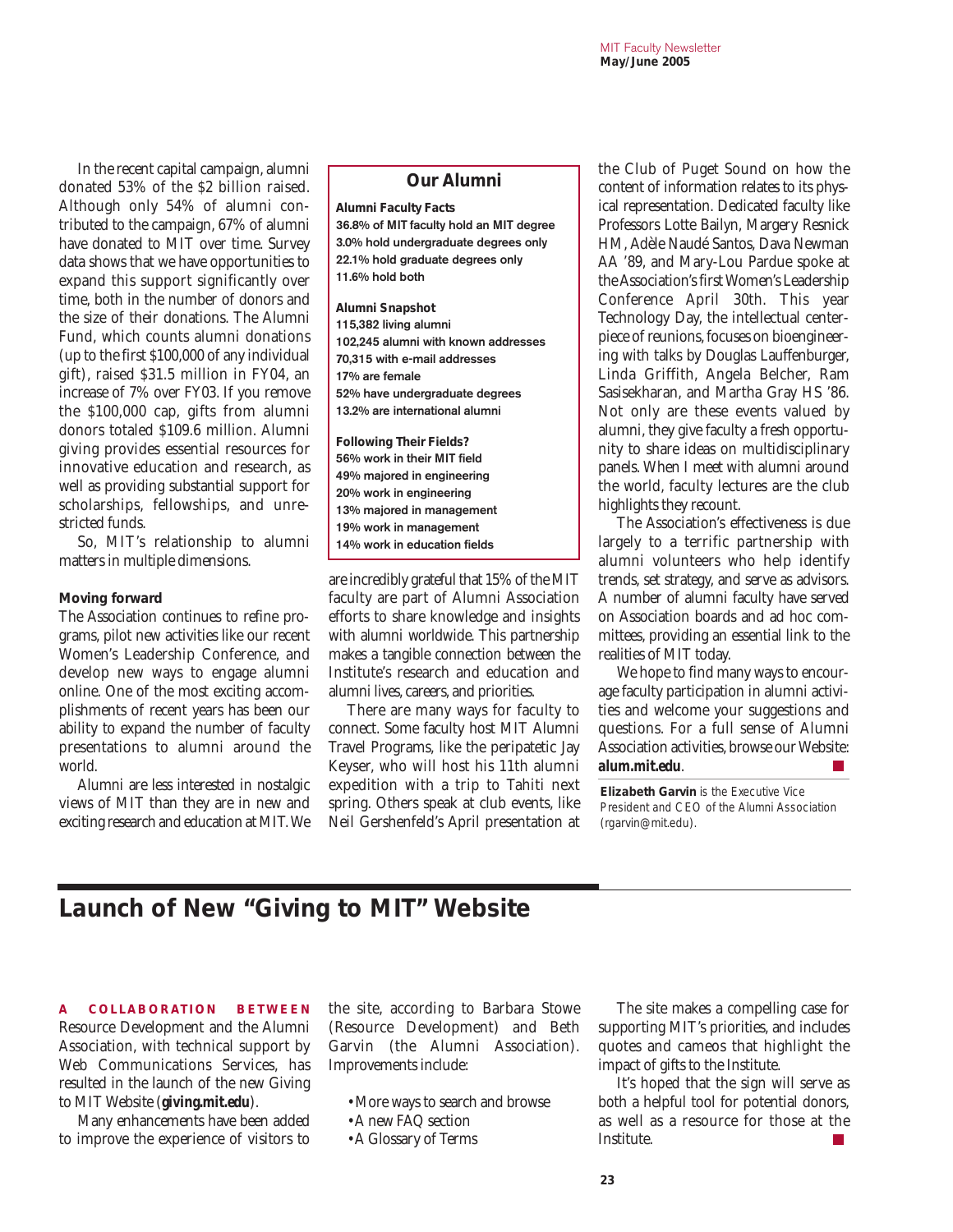In the recent capital campaign, alumni donated 53% of the \$2 billion raised. Although only 54% of alumni contributed to the campaign, 67% of alumni have donated to MIT over time. Survey data shows that we have opportunities to expand this support significantly over time, both in the number of donors and the size of their donations. The Alumni Fund, which counts alumni donations (up to the first \$100,000 of any individual gift), raised \$31.5 million in FY04, an increase of 7% over FY03. If you remove the \$100,000 cap, gifts from alumni donors totaled \$109.6 million. Alumni giving provides essential resources for innovative education and research, as well as providing substantial support for scholarships, fellowships, and unrestricted funds.

So, MIT's relationship to alumni matters in multiple dimensions.

#### **Moving forward**

The Association continues to refine programs, pilot new activities like our recent Women's Leadership Conference, and develop new ways to engage alumni online. One of the most exciting accomplishments of recent years has been our ability to expand the number of faculty presentations to alumni around the world.

Alumni are less interested in nostalgic views of MIT than they are in new and exciting research and education at MIT. We

#### **Our Alumni**

**Alumni Faculty Facts 36.8% of MIT faculty hold an MIT degree 3.0% hold undergraduate degrees only 22.1% hold graduate degrees only 11.6% hold both**

**Alumni Snapshot 115,382 living alumni 102,245 alumni with known addresses 70,315 with e-mail addresses 17% are female 52% have undergraduate degrees 13.2% are international alumni**

**Following Their Fields? 56% work in their MIT field 49% majored in engineering 20% work in engineering 13% majored in management 19% work in management 14% work in education fields**

are incredibly grateful that 15% of the MIT faculty are part of Alumni Association efforts to share knowledge and insights with alumni worldwide. This partnership makes a tangible connection between the Institute's research and education and alumni lives, careers, and priorities.

There are many ways for faculty to connect. Some faculty host MIT Alumni Travel Programs, like the peripatetic Jay Keyser, who will host his 11th alumni expedition with a trip to Tahiti next spring. Others speak at club events, like Neil Gershenfeld's April presentation at the Club of Puget Sound on how the content of information relates to its physical representation. Dedicated faculty like Professors Lotte Bailyn, Margery Resnick HM, Adèle Naudé Santos, Dava Newman AA '89, and Mary-Lou Pardue spoke at the Association's first Women's Leadership Conference April 30th. This year Technology Day, the intellectual centerpiece of reunions, focuses on bioengineering with talks by Douglas Lauffenburger, Linda Griffith, Angela Belcher, Ram Sasisekharan, and Martha Gray HS '86. Not only are these events valued by alumni, they give faculty a fresh opportunity to share ideas on multidisciplinary panels. When I meet with alumni around the world, faculty lectures are the club highlights they recount.

The Association's effectiveness is due largely to a terrific partnership with alumni volunteers who help identify trends, set strategy, and serve as advisors. A number of alumni faculty have served on Association boards and ad hoc committees, providing an essential link to the realities of MIT today.

We hope to find many ways to encourage faculty participation in alumni activities and welcome your suggestions and questions. For a full sense of Alumni Association activities, browse our Website: *alum.mit.edu*.

**Elizabeth Garvin** is the Executive Vice President and CEO of the Alumni Association *(rgarvin@mit.edu).*

### **Launch of New "Giving to MIT" Website**

**A COLLABORATION BETWEEN** Resource Development and the Alumni Association, with technical support by Web Communications Services, has resulted in the launch of the new Giving to MIT Website (*giving.mit.edu*).

Many enhancements have been added to improve the experience of visitors to the site, according to Barbara Stowe (Resource Development) and Beth Garvin (the Alumni Association). Improvements include:

- More ways to search and browse
- A new FAQ section
- A Glossary of Terms

The site makes a compelling case for supporting MIT's priorities, and includes quotes and cameos that highlight the impact of gifts to the Institute.

It's hoped that the sign will serve as both a helpful tool for potential donors, as well as a resource for those at the **Institute**